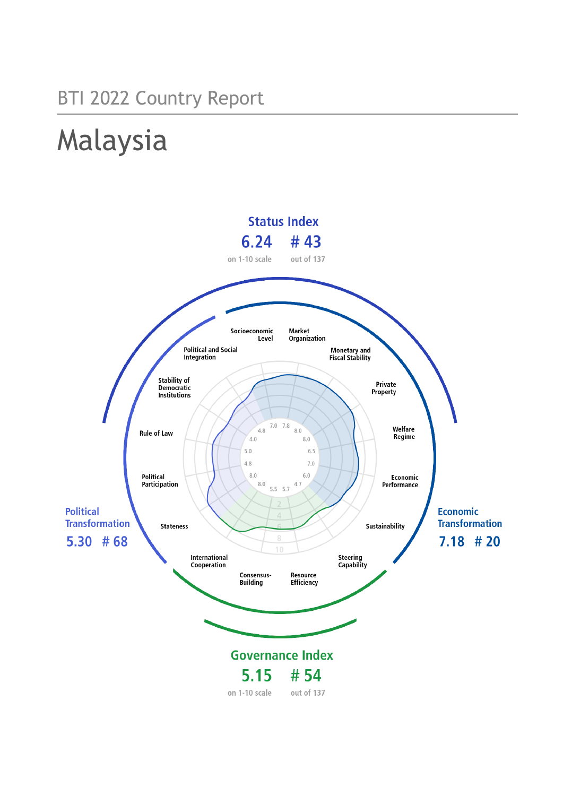# BTI 2022 Country Report

# Malaysia

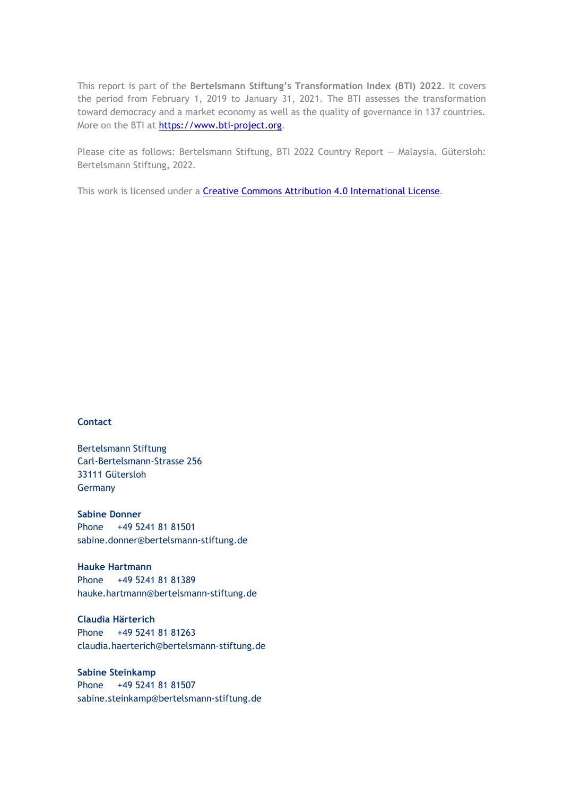This report is part of the **Bertelsmann Stiftung's Transformation Index (BTI) 2022**. It covers the period from February 1, 2019 to January 31, 2021. The BTI assesses the transformation toward democracy and a market economy as well as the quality of governance in 137 countries. More on the BTI at [https://www.bti-project.org.](https://www.bti-project.org/)

Please cite as follows: Bertelsmann Stiftung, BTI 2022 Country Report — Malaysia. Gütersloh: Bertelsmann Stiftung, 2022.

This work is licensed under a **Creative Commons Attribution 4.0 International License**.

### **Contact**

Bertelsmann Stiftung Carl-Bertelsmann-Strasse 256 33111 Gütersloh Germany

**Sabine Donner** Phone +49 5241 81 81501 sabine.donner@bertelsmann-stiftung.de

**Hauke Hartmann** Phone +49 5241 81 81389 hauke.hartmann@bertelsmann-stiftung.de

**Claudia Härterich** Phone +49 5241 81 81263 claudia.haerterich@bertelsmann-stiftung.de

### **Sabine Steinkamp** Phone +49 5241 81 81507 sabine.steinkamp@bertelsmann-stiftung.de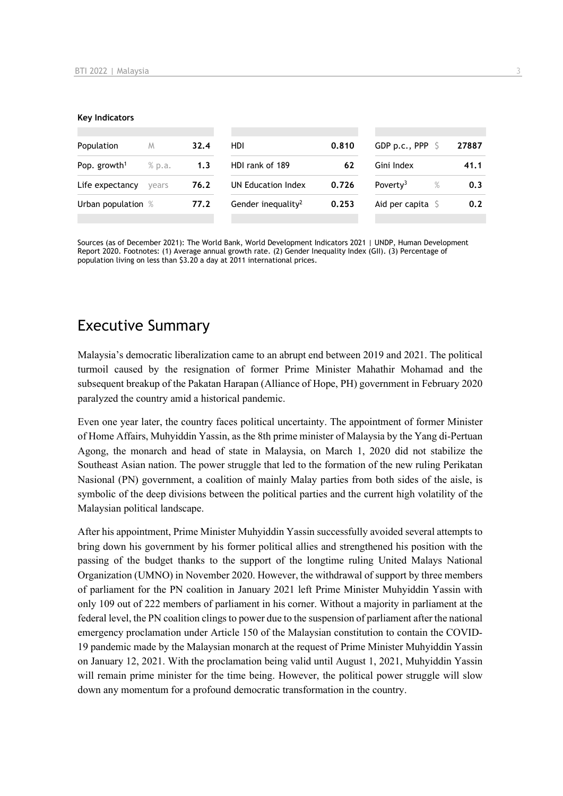#### **Key Indicators**

| Population               | M      | 32.4 | <b>HDI</b>                     | 0.810 | GDP p.c., PPP $\sqrt{5}$   | 27887    |
|--------------------------|--------|------|--------------------------------|-------|----------------------------|----------|
| Pop. growth <sup>1</sup> | % p.a. | 1.3  | HDI rank of 189                | 62    | Gini Index                 | 41.1     |
| Life expectancy          | vears  | 76.2 | UN Education Index             | 0.726 | Poverty <sup>3</sup>       | %<br>0.3 |
| Urban population %       |        | 77.2 | Gender inequality <sup>2</sup> | 0.253 | Aid per capita $\mathsf S$ | 0.2      |
|                          |        |      |                                |       |                            |          |

Sources (as of December 2021): The World Bank, World Development Indicators 2021 | UNDP, Human Development Report 2020. Footnotes: (1) Average annual growth rate. (2) Gender Inequality Index (GII). (3) Percentage of population living on less than \$3.20 a day at 2011 international prices.

# Executive Summary

Malaysia's democratic liberalization came to an abrupt end between 2019 and 2021. The political turmoil caused by the resignation of former Prime Minister Mahathir Mohamad and the subsequent breakup of the Pakatan Harapan (Alliance of Hope, PH) government in February 2020 paralyzed the country amid a historical pandemic.

Even one year later, the country faces political uncertainty. The appointment of former Minister of Home Affairs, Muhyiddin Yassin, as the 8th prime minister of Malaysia by the Yang di-Pertuan Agong, the monarch and head of state in Malaysia, on March 1, 2020 did not stabilize the Southeast Asian nation. The power struggle that led to the formation of the new ruling Perikatan Nasional (PN) government, a coalition of mainly Malay parties from both sides of the aisle, is symbolic of the deep divisions between the political parties and the current high volatility of the Malaysian political landscape.

After his appointment, Prime Minister Muhyiddin Yassin successfully avoided several attempts to bring down his government by his former political allies and strengthened his position with the passing of the budget thanks to the support of the longtime ruling United Malays National Organization (UMNO) in November 2020. However, the withdrawal of support by three members of parliament for the PN coalition in January 2021 left Prime Minister Muhyiddin Yassin with only 109 out of 222 members of parliament in his corner. Without a majority in parliament at the federal level, the PN coalition clings to power due to the suspension of parliament after the national emergency proclamation under Article 150 of the Malaysian constitution to contain the COVID-19 pandemic made by the Malaysian monarch at the request of Prime Minister Muhyiddin Yassin on January 12, 2021. With the proclamation being valid until August 1, 2021, Muhyiddin Yassin will remain prime minister for the time being. However, the political power struggle will slow down any momentum for a profound democratic transformation in the country.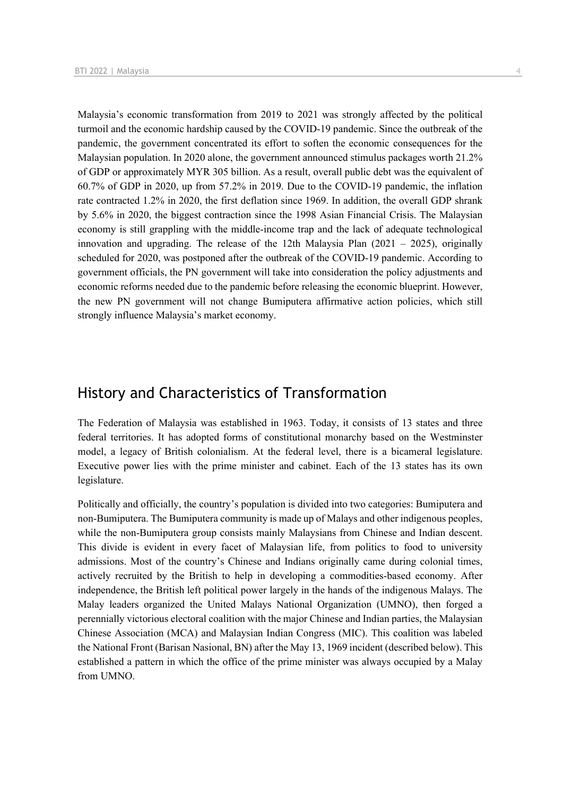Malaysia's economic transformation from 2019 to 2021 was strongly affected by the political turmoil and the economic hardship caused by the COVID-19 pandemic. Since the outbreak of the pandemic, the government concentrated its effort to soften the economic consequences for the Malaysian population. In 2020 alone, the government announced stimulus packages worth 21.2% of GDP or approximately MYR 305 billion. As a result, overall public debt was the equivalent of 60.7% of GDP in 2020, up from 57.2% in 2019. Due to the COVID-19 pandemic, the inflation rate contracted 1.2% in 2020, the first deflation since 1969. In addition, the overall GDP shrank by 5.6% in 2020, the biggest contraction since the 1998 Asian Financial Crisis. The Malaysian economy is still grappling with the middle-income trap and the lack of adequate technological innovation and upgrading. The release of the 12th Malaysia Plan  $(2021 - 2025)$ , originally scheduled for 2020, was postponed after the outbreak of the COVID-19 pandemic. According to government officials, the PN government will take into consideration the policy adjustments and economic reforms needed due to the pandemic before releasing the economic blueprint. However, the new PN government will not change Bumiputera affirmative action policies, which still strongly influence Malaysia's market economy.

# History and Characteristics of Transformation

The Federation of Malaysia was established in 1963. Today, it consists of 13 states and three federal territories. It has adopted forms of constitutional monarchy based on the Westminster model, a legacy of British colonialism. At the federal level, there is a bicameral legislature. Executive power lies with the prime minister and cabinet. Each of the 13 states has its own legislature.

Politically and officially, the country's population is divided into two categories: Bumiputera and non-Bumiputera. The Bumiputera community is made up of Malays and other indigenous peoples, while the non-Bumiputera group consists mainly Malaysians from Chinese and Indian descent. This divide is evident in every facet of Malaysian life, from politics to food to university admissions. Most of the country's Chinese and Indians originally came during colonial times, actively recruited by the British to help in developing a commodities-based economy. After independence, the British left political power largely in the hands of the indigenous Malays. The Malay leaders organized the United Malays National Organization (UMNO), then forged a perennially victorious electoral coalition with the major Chinese and Indian parties, the Malaysian Chinese Association (MCA) and Malaysian Indian Congress (MIC). This coalition was labeled the National Front (Barisan Nasional, BN) after the May 13, 1969 incident (described below). This established a pattern in which the office of the prime minister was always occupied by a Malay from UMNO.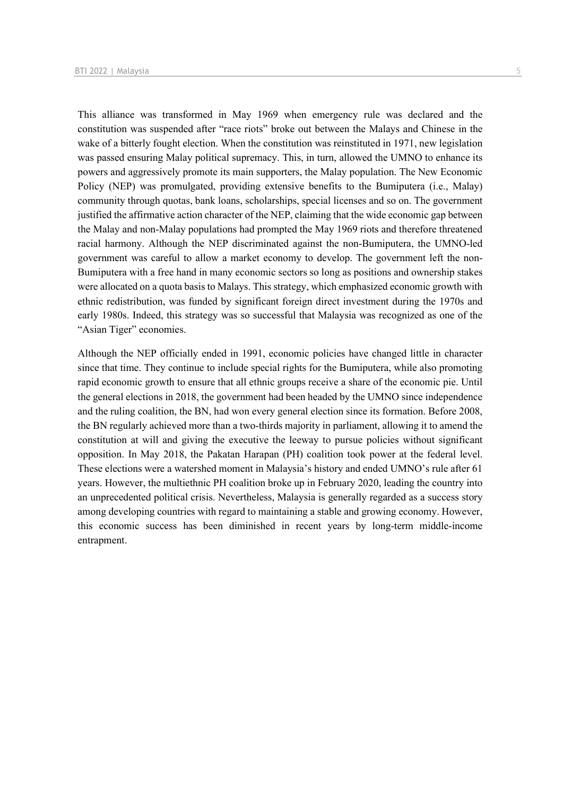This alliance was transformed in May 1969 when emergency rule was declared and the constitution was suspended after "race riots" broke out between the Malays and Chinese in the wake of a bitterly fought election. When the constitution was reinstituted in 1971, new legislation was passed ensuring Malay political supremacy. This, in turn, allowed the UMNO to enhance its powers and aggressively promote its main supporters, the Malay population. The New Economic Policy (NEP) was promulgated, providing extensive benefits to the Bumiputera (i.e., Malay) community through quotas, bank loans, scholarships, special licenses and so on. The government justified the affirmative action character of the NEP, claiming that the wide economic gap between the Malay and non-Malay populations had prompted the May 1969 riots and therefore threatened racial harmony. Although the NEP discriminated against the non-Bumiputera, the UMNO-led government was careful to allow a market economy to develop. The government left the non-Bumiputera with a free hand in many economic sectors so long as positions and ownership stakes were allocated on a quota basis to Malays. This strategy, which emphasized economic growth with ethnic redistribution, was funded by significant foreign direct investment during the 1970s and early 1980s. Indeed, this strategy was so successful that Malaysia was recognized as one of the "Asian Tiger" economies.

Although the NEP officially ended in 1991, economic policies have changed little in character since that time. They continue to include special rights for the Bumiputera, while also promoting rapid economic growth to ensure that all ethnic groups receive a share of the economic pie. Until the general elections in 2018, the government had been headed by the UMNO since independence and the ruling coalition, the BN, had won every general election since its formation. Before 2008, the BN regularly achieved more than a two-thirds majority in parliament, allowing it to amend the constitution at will and giving the executive the leeway to pursue policies without significant opposition. In May 2018, the Pakatan Harapan (PH) coalition took power at the federal level. These elections were a watershed moment in Malaysia's history and ended UMNO's rule after 61 years. However, the multiethnic PH coalition broke up in February 2020, leading the country into an unprecedented political crisis. Nevertheless, Malaysia is generally regarded as a success story among developing countries with regard to maintaining a stable and growing economy. However, this economic success has been diminished in recent years by long-term middle-income entrapment.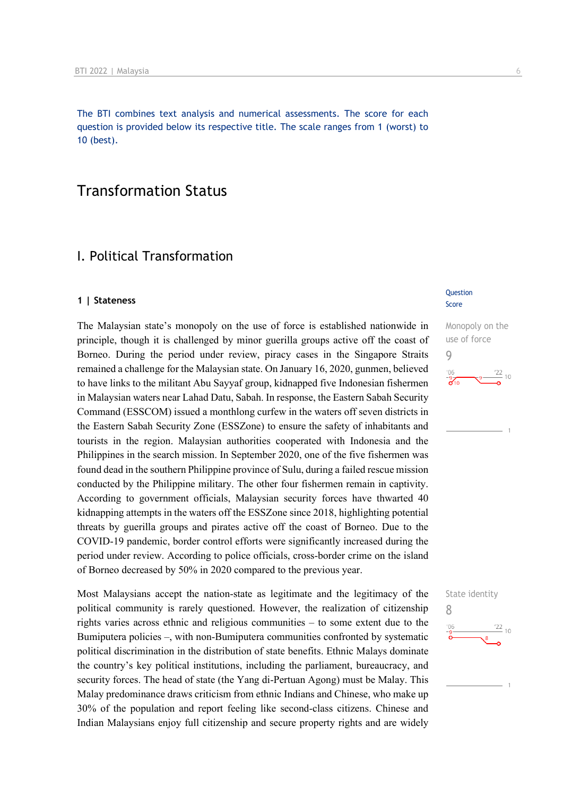The BTI combines text analysis and numerical assessments. The score for each question is provided below its respective title. The scale ranges from 1 (worst) to 10 (best).

# Transformation Status

# I. Political Transformation

### **1 | Stateness**

The Malaysian state's monopoly on the use of force is established nationwide in principle, though it is challenged by minor guerilla groups active off the coast of Borneo. During the period under review, piracy cases in the Singapore Straits remained a challenge for the Malaysian state. On January 16, 2020, gunmen, believed to have links to the militant Abu Sayyaf group, kidnapped five Indonesian fishermen in Malaysian waters near Lahad Datu, Sabah. In response, the Eastern Sabah Security Command (ESSCOM) issued a monthlong curfew in the waters off seven districts in the Eastern Sabah Security Zone (ESSZone) to ensure the safety of inhabitants and tourists in the region. Malaysian authorities cooperated with Indonesia and the Philippines in the search mission. In September 2020, one of the five fishermen was found dead in the southern Philippine province of Sulu, during a failed rescue mission conducted by the Philippine military. The other four fishermen remain in captivity. According to government officials, Malaysian security forces have thwarted 40 kidnapping attempts in the waters off the ESSZone since 2018, highlighting potential threats by guerilla groups and pirates active off the coast of Borneo. Due to the COVID-19 pandemic, border control efforts were significantly increased during the period under review. According to police officials, cross-border crime on the island of Borneo decreased by 50% in 2020 compared to the previous year.

Most Malaysians accept the nation-state as legitimate and the legitimacy of the political community is rarely questioned. However, the realization of citizenship rights varies across ethnic and religious communities – to some extent due to the Bumiputera policies –, with non-Bumiputera communities confronted by systematic political discrimination in the distribution of state benefits. Ethnic Malays dominate the country's key political institutions, including the parliament, bureaucracy, and security forces. The head of state (the Yang di-Pertuan Agong) must be Malay. This Malay predominance draws criticism from ethnic Indians and Chinese, who make up 30% of the population and report feeling like second-class citizens. Chinese and Indian Malaysians enjoy full citizenship and secure property rights and are widely

### **Question** Score

Monopoly on the use of force 9  $\frac{22}{10}$  10

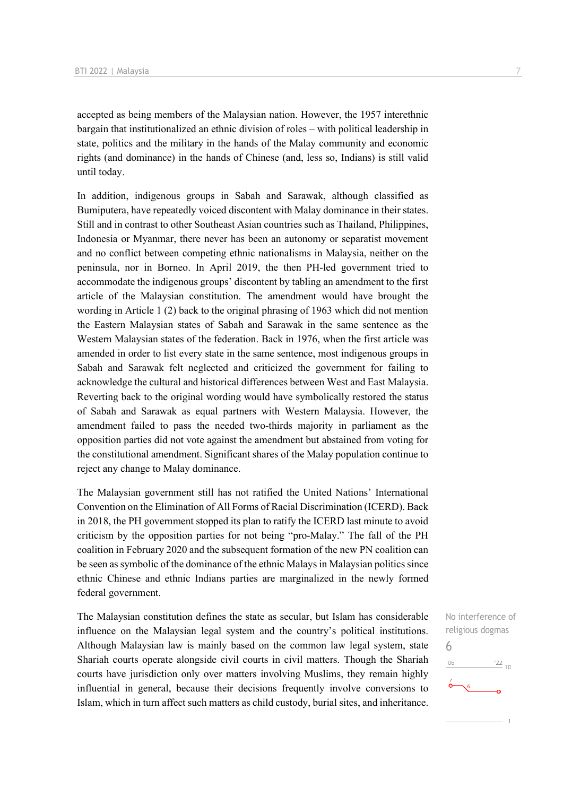accepted as being members of the Malaysian nation. However, the 1957 interethnic bargain that institutionalized an ethnic division of roles – with political leadership in state, politics and the military in the hands of the Malay community and economic rights (and dominance) in the hands of Chinese (and, less so, Indians) is still valid until today.

In addition, indigenous groups in Sabah and Sarawak, although classified as Bumiputera, have repeatedly voiced discontent with Malay dominance in their states. Still and in contrast to other Southeast Asian countries such as Thailand, Philippines, Indonesia or Myanmar, there never has been an autonomy or separatist movement and no conflict between competing ethnic nationalisms in Malaysia, neither on the peninsula, nor in Borneo. In April 2019, the then PH-led government tried to accommodate the indigenous groups' discontent by tabling an amendment to the first article of the Malaysian constitution. The amendment would have brought the wording in Article 1 (2) back to the original phrasing of 1963 which did not mention the Eastern Malaysian states of Sabah and Sarawak in the same sentence as the Western Malaysian states of the federation. Back in 1976, when the first article was amended in order to list every state in the same sentence, most indigenous groups in Sabah and Sarawak felt neglected and criticized the government for failing to acknowledge the cultural and historical differences between West and East Malaysia. Reverting back to the original wording would have symbolically restored the status of Sabah and Sarawak as equal partners with Western Malaysia. However, the amendment failed to pass the needed two-thirds majority in parliament as the opposition parties did not vote against the amendment but abstained from voting for the constitutional amendment. Significant shares of the Malay population continue to reject any change to Malay dominance.

The Malaysian government still has not ratified the United Nations' International Convention on the Elimination of All Forms of Racial Discrimination (ICERD). Back in 2018, the PH government stopped its plan to ratify the ICERD last minute to avoid criticism by the opposition parties for not being "pro-Malay." The fall of the PH coalition in February 2020 and the subsequent formation of the new PN coalition can be seen as symbolic of the dominance of the ethnic Malays in Malaysian politics since ethnic Chinese and ethnic Indians parties are marginalized in the newly formed federal government.

The Malaysian constitution defines the state as secular, but Islam has considerable influence on the Malaysian legal system and the country's political institutions. Although Malaysian law is mainly based on the common law legal system, state Shariah courts operate alongside civil courts in civil matters. Though the Shariah courts have jurisdiction only over matters involving Muslims, they remain highly influential in general, because their decisions frequently involve conversions to Islam, which in turn affect such matters as child custody, burial sites, and inheritance.

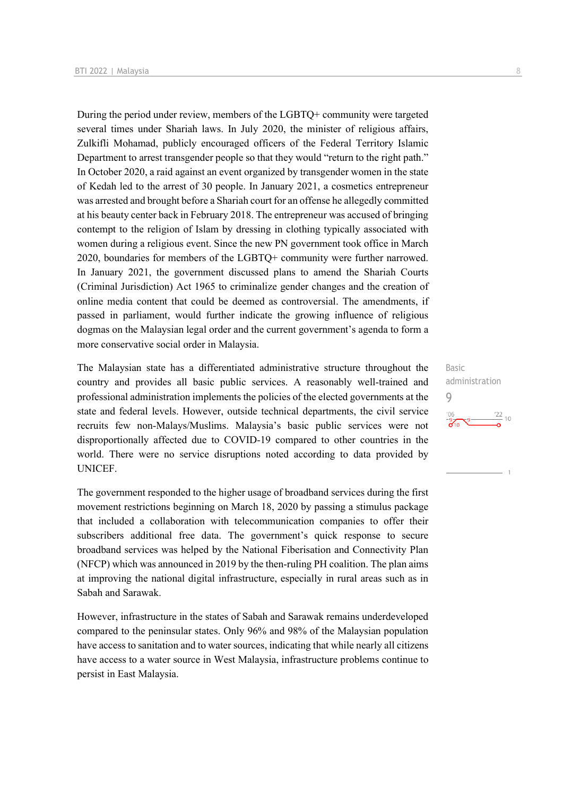During the period under review, members of the LGBTQ+ community were targeted several times under Shariah laws. In July 2020, the minister of religious affairs, Zulkifli Mohamad, publicly encouraged officers of the Federal Territory Islamic Department to arrest transgender people so that they would "return to the right path." In October 2020, a raid against an event organized by transgender women in the state of Kedah led to the arrest of 30 people. In January 2021, a cosmetics entrepreneur was arrested and brought before a Shariah court for an offense he allegedly committed at his beauty center back in February 2018. The entrepreneur was accused of bringing contempt to the religion of Islam by dressing in clothing typically associated with women during a religious event. Since the new PN government took office in March 2020, boundaries for members of the LGBTQ+ community were further narrowed. In January 2021, the government discussed plans to amend the Shariah Courts (Criminal Jurisdiction) Act 1965 to criminalize gender changes and the creation of online media content that could be deemed as controversial. The amendments, if passed in parliament, would further indicate the growing influence of religious dogmas on the Malaysian legal order and the current government's agenda to form a more conservative social order in Malaysia.

The Malaysian state has a differentiated administrative structure throughout the country and provides all basic public services. A reasonably well-trained and professional administration implements the policies of the elected governments at the state and federal levels. However, outside technical departments, the civil service recruits few non-Malays/Muslims. Malaysia's basic public services were not disproportionally affected due to COVID-19 compared to other countries in the world. There were no service disruptions noted according to data provided by UNICEF.

The government responded to the higher usage of broadband services during the first movement restrictions beginning on March 18, 2020 by passing a stimulus package that included a collaboration with telecommunication companies to offer their subscribers additional free data. The government's quick response to secure broadband services was helped by the National Fiberisation and Connectivity Plan (NFCP) which was announced in 2019 by the then-ruling PH coalition. The plan aims at improving the national digital infrastructure, especially in rural areas such as in Sabah and Sarawak.

However, infrastructure in the states of Sabah and Sarawak remains underdeveloped compared to the peninsular states. Only 96% and 98% of the Malaysian population have access to sanitation and to water sources, indicating that while nearly all citizens have access to a water source in West Malaysia, infrastructure problems continue to persist in East Malaysia.

Basic administration 9 $\frac{22}{10}$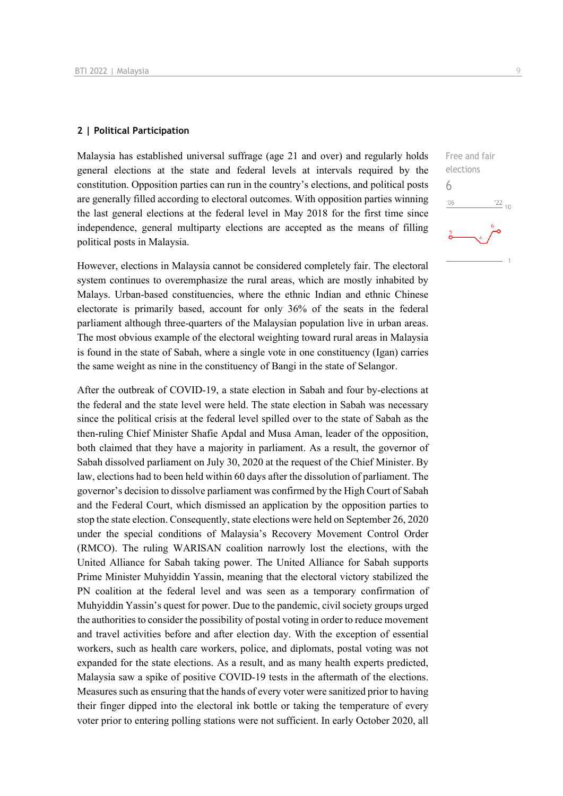### **2 | Political Participation**

Malaysia has established universal suffrage (age 21 and over) and regularly holds general elections at the state and federal levels at intervals required by the constitution. Opposition parties can run in the country's elections, and political posts are generally filled according to electoral outcomes. With opposition parties winning the last general elections at the federal level in May 2018 for the first time since independence, general multiparty elections are accepted as the means of filling political posts in Malaysia.

However, elections in Malaysia cannot be considered completely fair. The electoral system continues to overemphasize the rural areas, which are mostly inhabited by Malays. Urban-based constituencies, where the ethnic Indian and ethnic Chinese electorate is primarily based, account for only 36% of the seats in the federal parliament although three-quarters of the Malaysian population live in urban areas. The most obvious example of the electoral weighting toward rural areas in Malaysia is found in the state of Sabah, where a single vote in one constituency (Igan) carries the same weight as nine in the constituency of Bangi in the state of Selangor.

After the outbreak of COVID-19, a state election in Sabah and four by-elections at the federal and the state level were held. The state election in Sabah was necessary since the political crisis at the federal level spilled over to the state of Sabah as the then-ruling Chief Minister Shafie Apdal and Musa Aman, leader of the opposition, both claimed that they have a majority in parliament. As a result, the governor of Sabah dissolved parliament on July 30, 2020 at the request of the Chief Minister. By law, elections had to been held within 60 days after the dissolution of parliament. The governor's decision to dissolve parliament was confirmed by the High Court of Sabah and the Federal Court, which dismissed an application by the opposition parties to stop the state election. Consequently, state elections were held on September 26, 2020 under the special conditions of Malaysia's Recovery Movement Control Order (RMCO). The ruling WARISAN coalition narrowly lost the elections, with the United Alliance for Sabah taking power. The United Alliance for Sabah supports Prime Minister Muhyiddin Yassin, meaning that the electoral victory stabilized the PN coalition at the federal level and was seen as a temporary confirmation of Muhyiddin Yassin's quest for power. Due to the pandemic, civil society groups urged the authorities to consider the possibility of postal voting in order to reduce movement and travel activities before and after election day. With the exception of essential workers, such as health care workers, police, and diplomats, postal voting was not expanded for the state elections. As a result, and as many health experts predicted, Malaysia saw a spike of positive COVID-19 tests in the aftermath of the elections. Measures such as ensuring that the hands of every voter were sanitized prior to having their finger dipped into the electoral ink bottle or taking the temperature of every voter prior to entering polling stations were not sufficient. In early October 2020, all

Free and fair elections 6 $\frac{22}{10}$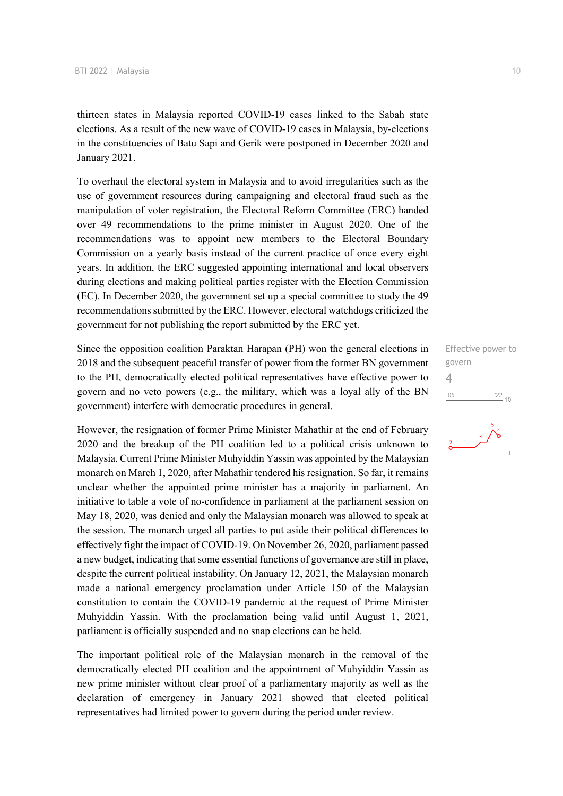thirteen states in Malaysia reported COVID-19 cases linked to the Sabah state elections. As a result of the new wave of COVID-19 cases in Malaysia, by-elections in the constituencies of Batu Sapi and Gerik were postponed in December 2020 and January 2021.

To overhaul the electoral system in Malaysia and to avoid irregularities such as the use of government resources during campaigning and electoral fraud such as the manipulation of voter registration, the Electoral Reform Committee (ERC) handed over 49 recommendations to the prime minister in August 2020. One of the recommendations was to appoint new members to the Electoral Boundary Commission on a yearly basis instead of the current practice of once every eight years. In addition, the ERC suggested appointing international and local observers during elections and making political parties register with the Election Commission (EC). In December 2020, the government set up a special committee to study the 49 recommendations submitted by the ERC. However, electoral watchdogs criticized the government for not publishing the report submitted by the ERC yet.

Since the opposition coalition Paraktan Harapan (PH) won the general elections in 2018 and the subsequent peaceful transfer of power from the former BN government to the PH, democratically elected political representatives have effective power to govern and no veto powers (e.g., the military, which was a loyal ally of the BN government) interfere with democratic procedures in general.

However, the resignation of former Prime Minister Mahathir at the end of February 2020 and the breakup of the PH coalition led to a political crisis unknown to Malaysia. Current Prime Minister Muhyiddin Yassin was appointed by the Malaysian monarch on March 1, 2020, after Mahathir tendered his resignation. So far, it remains unclear whether the appointed prime minister has a majority in parliament. An initiative to table a vote of no-confidence in parliament at the parliament session on May 18, 2020, was denied and only the Malaysian monarch was allowed to speak at the session. The monarch urged all parties to put aside their political differences to effectively fight the impact of COVID-19. On November 26, 2020, parliament passed a new budget, indicating that some essential functions of governance are still in place, despite the current political instability. On January 12, 2021, the Malaysian monarch made a national emergency proclamation under Article 150 of the Malaysian constitution to contain the COVID-19 pandemic at the request of Prime Minister Muhyiddin Yassin. With the proclamation being valid until August 1, 2021, parliament is officially suspended and no snap elections can be held.

The important political role of the Malaysian monarch in the removal of the democratically elected PH coalition and the appointment of Muhyiddin Yassin as new prime minister without clear proof of a parliamentary majority as well as the declaration of emergency in January 2021 showed that elected political representatives had limited power to govern during the period under review.

Effective power to govern 4 $\frac{22}{10}$  $'06$ 

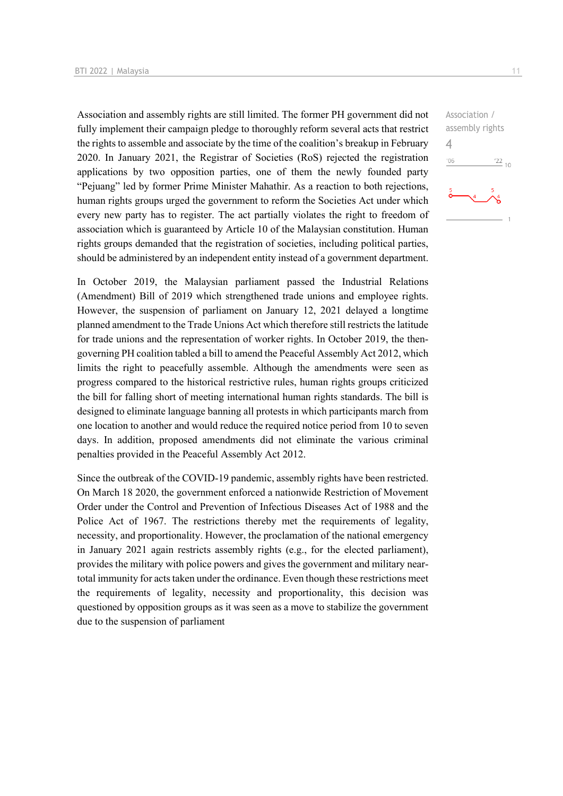Association and assembly rights are still limited. The former PH government did not fully implement their campaign pledge to thoroughly reform several acts that restrict the rights to assemble and associate by the time of the coalition's breakup in February 2020. In January 2021, the Registrar of Societies (RoS) rejected the registration applications by two opposition parties, one of them the newly founded party "Pejuang" led by former Prime Minister Mahathir. As a reaction to both rejections, human rights groups urged the government to reform the Societies Act under which every new party has to register. The act partially violates the right to freedom of association which is guaranteed by Article 10 of the Malaysian constitution. Human rights groups demanded that the registration of societies, including political parties, should be administered by an independent entity instead of a government department.

In October 2019, the Malaysian parliament passed the Industrial Relations (Amendment) Bill of 2019 which strengthened trade unions and employee rights. However, the suspension of parliament on January 12, 2021 delayed a longtime planned amendment to the Trade Unions Act which therefore still restricts the latitude for trade unions and the representation of worker rights. In October 2019, the thengoverning PH coalition tabled a bill to amend the Peaceful Assembly Act 2012, which limits the right to peacefully assemble. Although the amendments were seen as progress compared to the historical restrictive rules, human rights groups criticized the bill for falling short of meeting international human rights standards. The bill is designed to eliminate language banning all protests in which participants march from one location to another and would reduce the required notice period from 10 to seven days. In addition, proposed amendments did not eliminate the various criminal penalties provided in the Peaceful Assembly Act 2012.

Since the outbreak of the COVID-19 pandemic, assembly rights have been restricted. On March 18 2020, the government enforced a nationwide Restriction of Movement Order under the Control and Prevention of Infectious Diseases Act of 1988 and the Police Act of 1967. The restrictions thereby met the requirements of legality, necessity, and proportionality. However, the proclamation of the national emergency in January 2021 again restricts assembly rights (e.g., for the elected parliament), provides the military with police powers and gives the government and military neartotal immunity for acts taken under the ordinance. Even though these restrictions meet the requirements of legality, necessity and proportionality, this decision was questioned by opposition groups as it was seen as a move to stabilize the government due to the suspension of parliament

Association / assembly rights 4 $06'$  $\frac{22}{10}$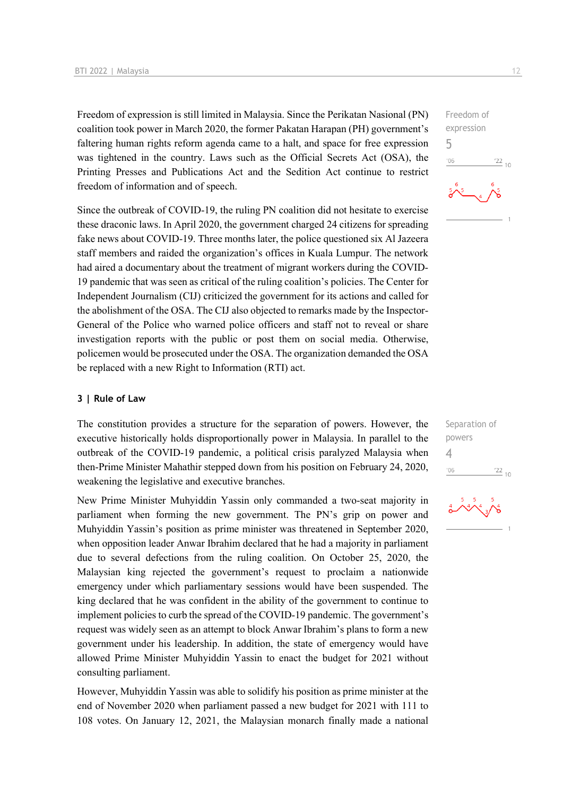Freedom of expression is still limited in Malaysia. Since the Perikatan Nasional (PN) coalition took power in March 2020, the former Pakatan Harapan (PH) government's faltering human rights reform agenda came to a halt, and space for free expression was tightened in the country. Laws such as the Official Secrets Act (OSA), the Printing Presses and Publications Act and the Sedition Act continue to restrict freedom of information and of speech.

Since the outbreak of COVID-19, the ruling PN coalition did not hesitate to exercise these draconic laws. In April 2020, the government charged 24 citizens for spreading fake news about COVID-19. Three months later, the police questioned six Al Jazeera staff members and raided the organization's offices in Kuala Lumpur. The network had aired a documentary about the treatment of migrant workers during the COVID-19 pandemic that was seen as critical of the ruling coalition's policies. The Center for Independent Journalism (CIJ) criticized the government for its actions and called for the abolishment of the OSA. The CIJ also objected to remarks made by the Inspector-General of the Police who warned police officers and staff not to reveal or share investigation reports with the public or post them on social media. Otherwise, policemen would be prosecuted under the OSA. The organization demanded the OSA be replaced with a new Right to Information (RTI) act.

### **3 | Rule of Law**

The constitution provides a structure for the separation of powers. However, the executive historically holds disproportionally power in Malaysia. In parallel to the outbreak of the COVID-19 pandemic, a political crisis paralyzed Malaysia when then-Prime Minister Mahathir stepped down from his position on February 24, 2020, weakening the legislative and executive branches.

New Prime Minister Muhyiddin Yassin only commanded a two-seat majority in parliament when forming the new government. The PN's grip on power and Muhyiddin Yassin's position as prime minister was threatened in September 2020, when opposition leader Anwar Ibrahim declared that he had a majority in parliament due to several defections from the ruling coalition. On October 25, 2020, the Malaysian king rejected the government's request to proclaim a nationwide emergency under which parliamentary sessions would have been suspended. The king declared that he was confident in the ability of the government to continue to implement policies to curb the spread of the COVID-19 pandemic. The government's request was widely seen as an attempt to block Anwar Ibrahim's plans to form a new government under his leadership. In addition, the state of emergency would have allowed Prime Minister Muhyiddin Yassin to enact the budget for 2021 without consulting parliament.

However, Muhyiddin Yassin was able to solidify his position as prime minister at the end of November 2020 when parliament passed a new budget for 2021 with 111 to 108 votes. On January 12, 2021, the Malaysian monarch finally made a national



| Separation of |            |  |
|---------------|------------|--|
| powers        |            |  |
| 4             |            |  |
| 106           | $122_{10}$ |  |

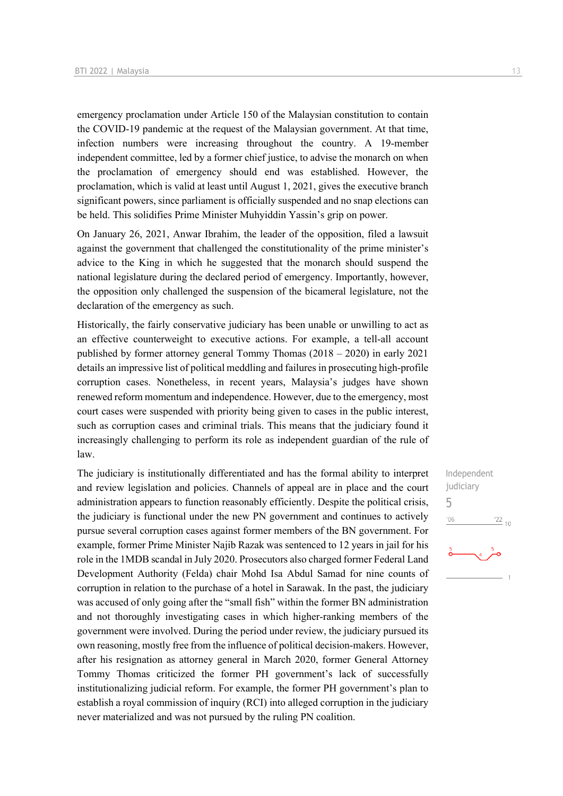emergency proclamation under Article 150 of the Malaysian constitution to contain the COVID-19 pandemic at the request of the Malaysian government. At that time, infection numbers were increasing throughout the country. A 19-member independent committee, led by a former chief justice, to advise the monarch on when the proclamation of emergency should end was established. However, the proclamation, which is valid at least until August 1, 2021, gives the executive branch significant powers, since parliament is officially suspended and no snap elections can be held. This solidifies Prime Minister Muhyiddin Yassin's grip on power.

On January 26, 2021, Anwar Ibrahim, the leader of the opposition, filed a lawsuit against the government that challenged the constitutionality of the prime minister's advice to the King in which he suggested that the monarch should suspend the national legislature during the declared period of emergency. Importantly, however, the opposition only challenged the suspension of the bicameral legislature, not the declaration of the emergency as such.

Historically, the fairly conservative judiciary has been unable or unwilling to act as an effective counterweight to executive actions. For example, a tell-all account published by former attorney general Tommy Thomas (2018 – 2020) in early 2021 details an impressive list of political meddling and failures in prosecuting high-profile corruption cases. Nonetheless, in recent years, Malaysia's judges have shown renewed reform momentum and independence. However, due to the emergency, most court cases were suspended with priority being given to cases in the public interest, such as corruption cases and criminal trials. This means that the judiciary found it increasingly challenging to perform its role as independent guardian of the rule of law.

The judiciary is institutionally differentiated and has the formal ability to interpret and review legislation and policies. Channels of appeal are in place and the court administration appears to function reasonably efficiently. Despite the political crisis, the judiciary is functional under the new PN government and continues to actively pursue several corruption cases against former members of the BN government. For example, former Prime Minister Najib Razak was sentenced to 12 years in jail for his role in the 1MDB scandal in July 2020. Prosecutors also charged former Federal Land Development Authority (Felda) chair Mohd Isa Abdul Samad for nine counts of corruption in relation to the purchase of a hotel in Sarawak. In the past, the judiciary was accused of only going after the "small fish" within the former BN administration and not thoroughly investigating cases in which higher-ranking members of the government were involved. During the period under review, the judiciary pursued its own reasoning, mostly free from the influence of political decision-makers. However, after his resignation as attorney general in March 2020, former General Attorney Tommy Thomas criticized the former PH government's lack of successfully institutionalizing judicial reform. For example, the former PH government's plan to establish a royal commission of inquiry (RCI) into alleged corruption in the judiciary never materialized and was not pursued by the ruling PN coalition.

Independent judiciary 5 $-06$  $\frac{22}{10}$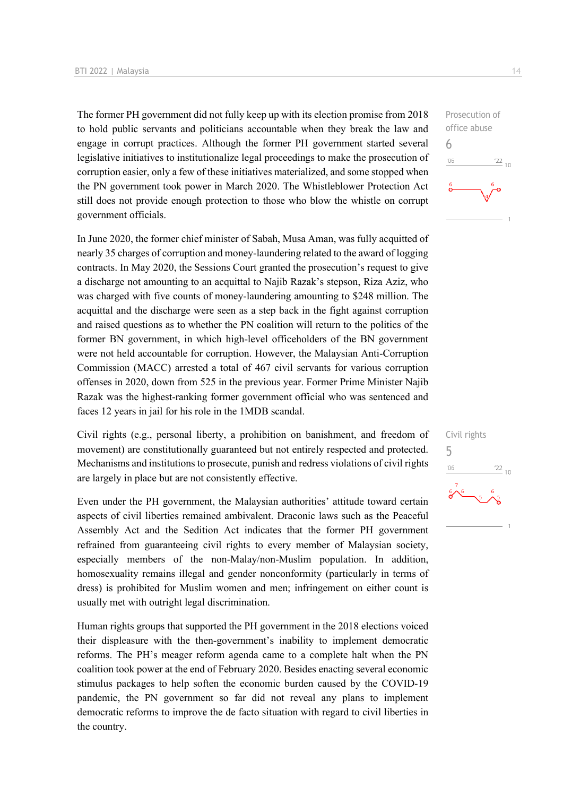The former PH government did not fully keep up with its election promise from 2018 to hold public servants and politicians accountable when they break the law and engage in corrupt practices. Although the former PH government started several legislative initiatives to institutionalize legal proceedings to make the prosecution of corruption easier, only a few of these initiatives materialized, and some stopped when the PN government took power in March 2020. The Whistleblower Protection Act still does not provide enough protection to those who blow the whistle on corrupt government officials.

In June 2020, the former chief minister of Sabah, Musa Aman, was fully acquitted of nearly 35 charges of corruption and money-laundering related to the award of logging contracts. In May 2020, the Sessions Court granted the prosecution's request to give a discharge not amounting to an acquittal to Najib Razak's stepson, Riza Aziz, who was charged with five counts of money-laundering amounting to \$248 million. The acquittal and the discharge were seen as a step back in the fight against corruption and raised questions as to whether the PN coalition will return to the politics of the former BN government, in which high-level officeholders of the BN government were not held accountable for corruption. However, the Malaysian Anti-Corruption Commission (MACC) arrested a total of 467 civil servants for various corruption offenses in 2020, down from 525 in the previous year. Former Prime Minister Najib Razak was the highest-ranking former government official who was sentenced and faces 12 years in jail for his role in the 1MDB scandal.

Civil rights (e.g., personal liberty, a prohibition on banishment, and freedom of movement) are constitutionally guaranteed but not entirely respected and protected. Mechanisms and institutions to prosecute, punish and redress violations of civil rights are largely in place but are not consistently effective.

Even under the PH government, the Malaysian authorities' attitude toward certain aspects of civil liberties remained ambivalent. Draconic laws such as the Peaceful Assembly Act and the Sedition Act indicates that the former PH government refrained from guaranteeing civil rights to every member of Malaysian society, especially members of the non-Malay/non-Muslim population. In addition, homosexuality remains illegal and gender nonconformity (particularly in terms of dress) is prohibited for Muslim women and men; infringement on either count is usually met with outright legal discrimination.

Human rights groups that supported the PH government in the 2018 elections voiced their displeasure with the then-government's inability to implement democratic reforms. The PH's meager reform agenda came to a complete halt when the PN coalition took power at the end of February 2020. Besides enacting several economic stimulus packages to help soften the economic burden caused by the COVID-19 pandemic, the PN government so far did not reveal any plans to implement democratic reforms to improve the de facto situation with regard to civil liberties in the country.



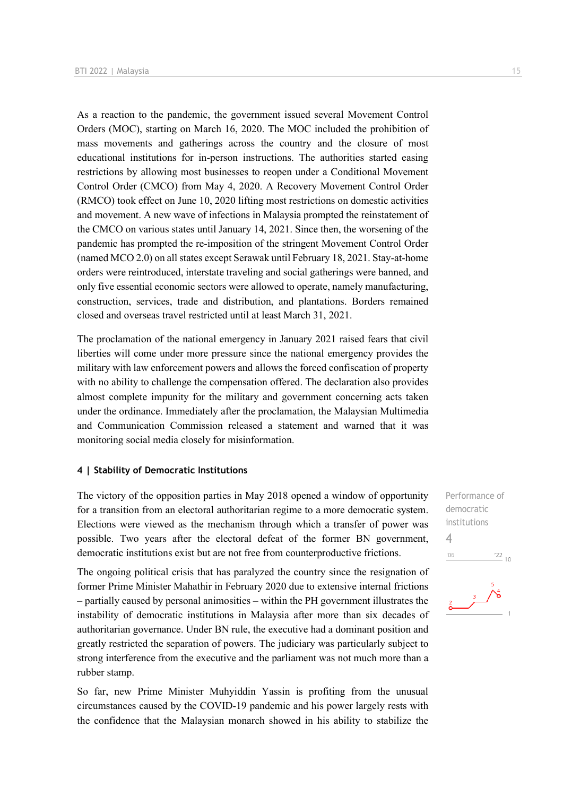As a reaction to the pandemic, the government issued several Movement Control Orders (MOC), starting on March 16, 2020. The MOC included the prohibition of mass movements and gatherings across the country and the closure of most educational institutions for in-person instructions. The authorities started easing restrictions by allowing most businesses to reopen under a Conditional Movement Control Order (CMCO) from May 4, 2020. A Recovery Movement Control Order (RMCO) took effect on June 10, 2020 lifting most restrictions on domestic activities and movement. A new wave of infections in Malaysia prompted the reinstatement of the CMCO on various states until January 14, 2021. Since then, the worsening of the pandemic has prompted the re-imposition of the stringent Movement Control Order (named MCO 2.0) on all states except Serawak until February 18, 2021. Stay-at-home orders were reintroduced, interstate traveling and social gatherings were banned, and only five essential economic sectors were allowed to operate, namely manufacturing, construction, services, trade and distribution, and plantations. Borders remained closed and overseas travel restricted until at least March 31, 2021.

The proclamation of the national emergency in January 2021 raised fears that civil liberties will come under more pressure since the national emergency provides the military with law enforcement powers and allows the forced confiscation of property with no ability to challenge the compensation offered. The declaration also provides almost complete impunity for the military and government concerning acts taken under the ordinance. Immediately after the proclamation, the Malaysian Multimedia and Communication Commission released a statement and warned that it was monitoring social media closely for misinformation.

### **4 | Stability of Democratic Institutions**

The victory of the opposition parties in May 2018 opened a window of opportunity for a transition from an electoral authoritarian regime to a more democratic system. Elections were viewed as the mechanism through which a transfer of power was possible. Two years after the electoral defeat of the former BN government, democratic institutions exist but are not free from counterproductive frictions.

The ongoing political crisis that has paralyzed the country since the resignation of former Prime Minister Mahathir in February 2020 due to extensive internal frictions – partially caused by personal animosities – within the PH government illustrates the instability of democratic institutions in Malaysia after more than six decades of authoritarian governance. Under BN rule, the executive had a dominant position and greatly restricted the separation of powers. The judiciary was particularly subject to strong interference from the executive and the parliament was not much more than a rubber stamp.

So far, new Prime Minister Muhyiddin Yassin is profiting from the unusual circumstances caused by the COVID-19 pandemic and his power largely rests with the confidence that the Malaysian monarch showed in his ability to stabilize the Performance of democratic institutions 4 $\frac{22}{10}$  $-06$ 

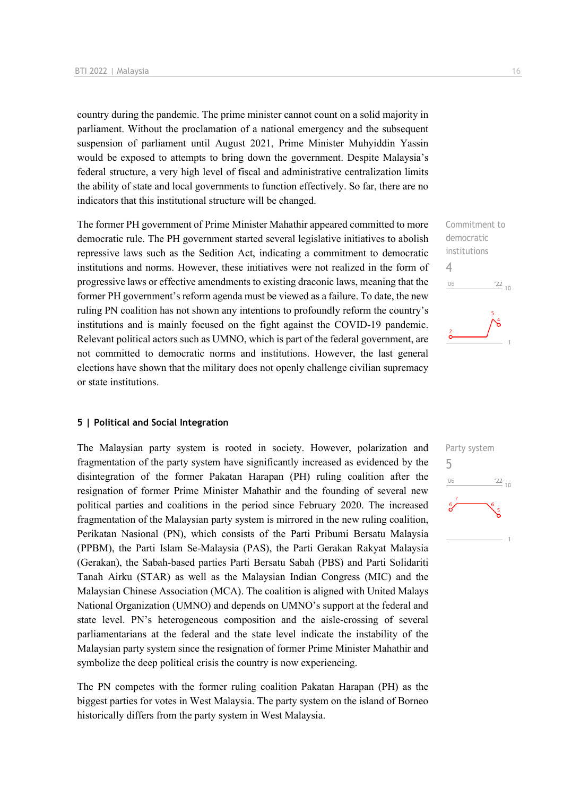country during the pandemic. The prime minister cannot count on a solid majority in parliament. Without the proclamation of a national emergency and the subsequent suspension of parliament until August 2021, Prime Minister Muhyiddin Yassin would be exposed to attempts to bring down the government. Despite Malaysia's federal structure, a very high level of fiscal and administrative centralization limits the ability of state and local governments to function effectively. So far, there are no indicators that this institutional structure will be changed.

The former PH government of Prime Minister Mahathir appeared committed to more democratic rule. The PH government started several legislative initiatives to abolish repressive laws such as the Sedition Act, indicating a commitment to democratic institutions and norms. However, these initiatives were not realized in the form of progressive laws or effective amendments to existing draconic laws, meaning that the former PH government's reform agenda must be viewed as a failure. To date, the new ruling PN coalition has not shown any intentions to profoundly reform the country's institutions and is mainly focused on the fight against the COVID-19 pandemic. Relevant political actors such as UMNO, which is part of the federal government, are not committed to democratic norms and institutions. However, the last general elections have shown that the military does not openly challenge civilian supremacy or state institutions.

### **5 | Political and Social Integration**

The Malaysian party system is rooted in society. However, polarization and fragmentation of the party system have significantly increased as evidenced by the disintegration of the former Pakatan Harapan (PH) ruling coalition after the resignation of former Prime Minister Mahathir and the founding of several new political parties and coalitions in the period since February 2020. The increased fragmentation of the Malaysian party system is mirrored in the new ruling coalition, Perikatan Nasional (PN), which consists of the Parti Pribumi Bersatu Malaysia (PPBM), the Parti Islam Se-Malaysia (PAS), the Parti Gerakan Rakyat Malaysia (Gerakan), the Sabah-based parties Parti Bersatu Sabah (PBS) and Parti Solidariti Tanah Airku (STAR) as well as the Malaysian Indian Congress (MIC) and the Malaysian Chinese Association (MCA). The coalition is aligned with United Malays National Organization (UMNO) and depends on UMNO's support at the federal and state level. PN's heterogeneous composition and the aisle-crossing of several parliamentarians at the federal and the state level indicate the instability of the Malaysian party system since the resignation of former Prime Minister Mahathir and symbolize the deep political crisis the country is now experiencing.

The PN competes with the former ruling coalition Pakatan Harapan (PH) as the biggest parties for votes in West Malaysia. The party system on the island of Borneo historically differs from the party system in West Malaysia.

Commitment to democratic institutions 4  $^{\prime}06$  $\frac{22}{10}$ 

Party system 5 $\frac{22}{10}$  $^{\prime}06$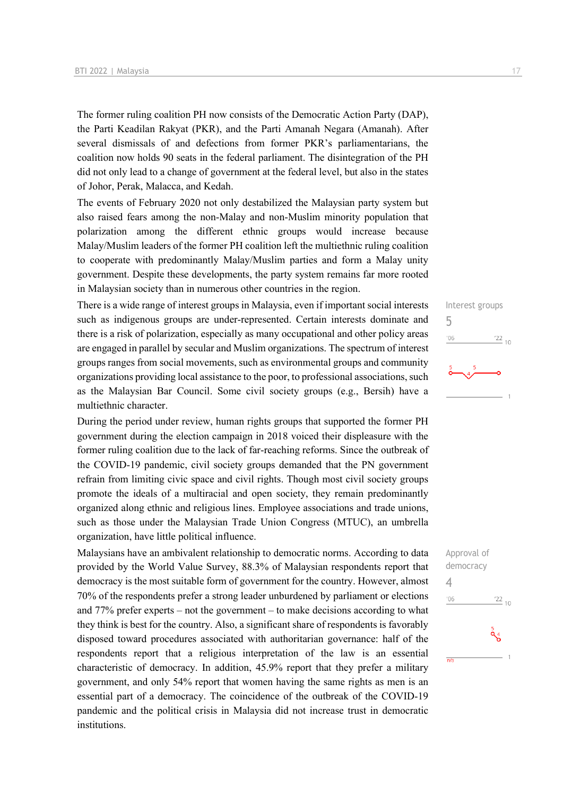The former ruling coalition PH now consists of the Democratic Action Party (DAP), the Parti Keadilan Rakyat (PKR), and the Parti Amanah Negara (Amanah). After several dismissals of and defections from former PKR's parliamentarians, the coalition now holds 90 seats in the federal parliament. The disintegration of the PH did not only lead to a change of government at the federal level, but also in the states of Johor, Perak, Malacca, and Kedah.

The events of February 2020 not only destabilized the Malaysian party system but also raised fears among the non-Malay and non-Muslim minority population that polarization among the different ethnic groups would increase because Malay/Muslim leaders of the former PH coalition left the multiethnic ruling coalition to cooperate with predominantly Malay/Muslim parties and form a Malay unity government. Despite these developments, the party system remains far more rooted in Malaysian society than in numerous other countries in the region.

There is a wide range of interest groups in Malaysia, even if important social interests such as indigenous groups are under-represented. Certain interests dominate and there is a risk of polarization, especially as many occupational and other policy areas are engaged in parallel by secular and Muslim organizations. The spectrum of interest groups ranges from social movements, such as environmental groups and community organizations providing local assistance to the poor, to professional associations, such as the Malaysian Bar Council. Some civil society groups (e.g., Bersih) have a multiethnic character.

During the period under review, human rights groups that supported the former PH government during the election campaign in 2018 voiced their displeasure with the former ruling coalition due to the lack of far-reaching reforms. Since the outbreak of the COVID-19 pandemic, civil society groups demanded that the PN government refrain from limiting civic space and civil rights. Though most civil society groups promote the ideals of a multiracial and open society, they remain predominantly organized along ethnic and religious lines. Employee associations and trade unions, such as those under the Malaysian Trade Union Congress (MTUC), an umbrella organization, have little political influence.

Malaysians have an ambivalent relationship to democratic norms. According to data provided by the World Value Survey, 88.3% of Malaysian respondents report that democracy is the most suitable form of government for the country. However, almost 70% of the respondents prefer a strong leader unburdened by parliament or elections and 77% prefer experts – not the government – to make decisions according to what they think is best for the country. Also, a significant share of respondents is favorably disposed toward procedures associated with authoritarian governance: half of the respondents report that a religious interpretation of the law is an essential characteristic of democracy. In addition, 45.9% report that they prefer a military government, and only 54% report that women having the same rights as men is an essential part of a democracy. The coincidence of the outbreak of the COVID-19 pandemic and the political crisis in Malaysia did not increase trust in democratic institutions.



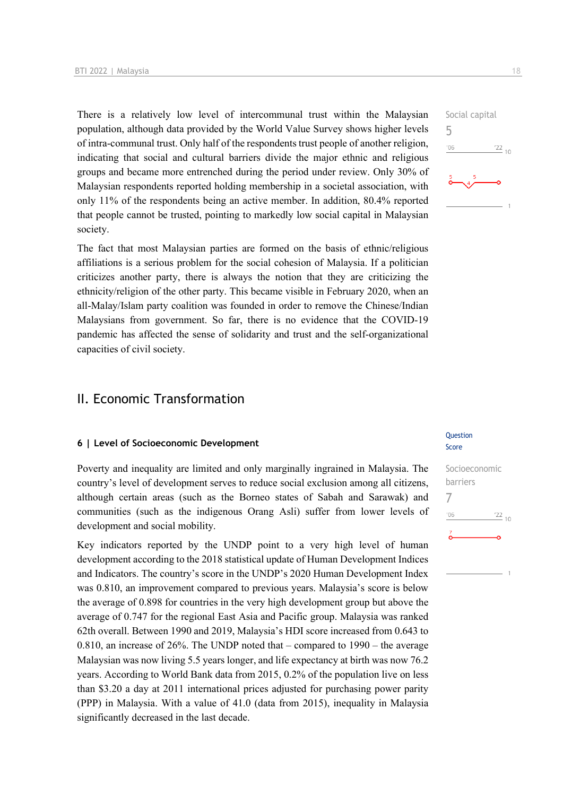There is a relatively low level of intercommunal trust within the Malaysian population, although data provided by the World Value Survey shows higher levels of intra-communal trust. Only half of the respondents trust people of another religion, indicating that social and cultural barriers divide the major ethnic and religious groups and became more entrenched during the period under review. Only 30% of Malaysian respondents reported holding membership in a societal association, with only 11% of the respondents being an active member. In addition, 80.4% reported that people cannot be trusted, pointing to markedly low social capital in Malaysian society.

The fact that most Malaysian parties are formed on the basis of ethnic/religious affiliations is a serious problem for the social cohesion of Malaysia. If a politician criticizes another party, there is always the notion that they are criticizing the ethnicity/religion of the other party. This became visible in February 2020, when an all-Malay/Islam party coalition was founded in order to remove the Chinese/Indian Malaysians from government. So far, there is no evidence that the COVID-19 pandemic has affected the sense of solidarity and trust and the self-organizational capacities of civil society.

# II. Economic Transformation

### **6 | Level of Socioeconomic Development**

Poverty and inequality are limited and only marginally ingrained in Malaysia. The country's level of development serves to reduce social exclusion among all citizens, although certain areas (such as the Borneo states of Sabah and Sarawak) and communities (such as the indigenous Orang Asli) suffer from lower levels of development and social mobility.

Key indicators reported by the UNDP point to a very high level of human development according to the 2018 statistical update of Human Development Indices and Indicators. The country's score in the UNDP's 2020 Human Development Index was 0.810, an improvement compared to previous years. Malaysia's score is below the average of 0.898 for countries in the very high development group but above the average of 0.747 for the regional East Asia and Pacific group. Malaysia was ranked 62th overall. Between 1990 and 2019, Malaysia's HDI score increased from 0.643 to 0.810, an increase of 26%. The UNDP noted that – compared to 1990 – the average Malaysian was now living 5.5 years longer, and life expectancy at birth was now 76.2 years. According to World Bank data from 2015, 0.2% of the population live on less than \$3.20 a day at 2011 international prices adjusted for purchasing power parity (PPP) in Malaysia. With a value of 41.0 (data from 2015), inequality in Malaysia significantly decreased in the last decade.

### Question Score

# Socioeconomic barriers 7 $-06$  $\frac{22}{10}$

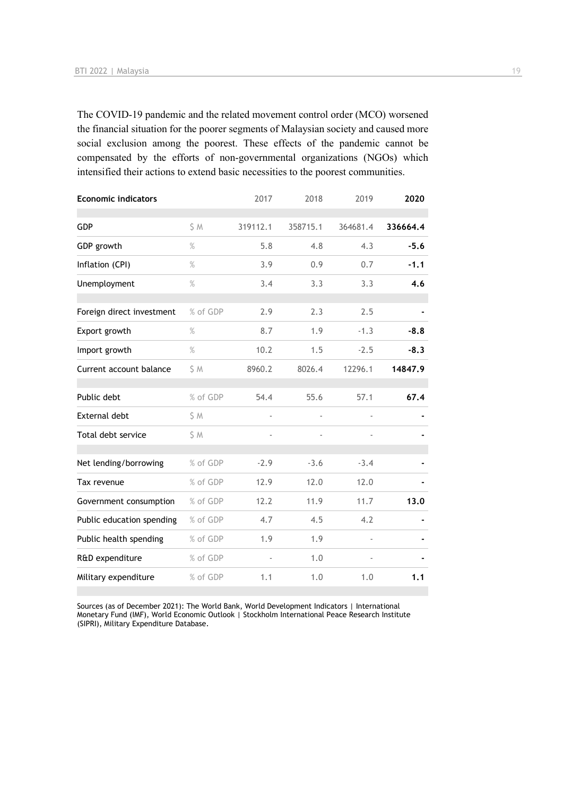The COVID-19 pandemic and the related movement control order (MCO) worsened the financial situation for the poorer segments of Malaysian society and caused more social exclusion among the poorest. These effects of the pandemic cannot be compensated by the efforts of non-governmental organizations (NGOs) which intensified their actions to extend basic necessities to the poorest communities.

| <b>Economic indicators</b> |          | 2017     | 2018           | 2019     | 2020     |
|----------------------------|----------|----------|----------------|----------|----------|
| <b>GDP</b>                 | \$ M     | 319112.1 | 358715.1       | 364681.4 | 336664.4 |
| GDP growth                 | $\%$     | 5.8      | 4.8            | 4.3      | $-5.6$   |
| Inflation (CPI)            | $\%$     | 3.9      | 0.9            | 0.7      | $-1.1$   |
| Unemployment               | %        | 3.4      | 3.3            | 3.3      | 4.6      |
| Foreign direct investment  | % of GDP | 2.9      | 2.3            | 2.5      |          |
| Export growth              | %        | 8.7      | 1.9            | $-1.3$   | $-8.8$   |
| Import growth              | $\%$     | 10.2     | 1.5            | $-2.5$   | $-8.3$   |
| Current account balance    | \$ M     | 8960.2   | 8026.4         | 12296.1  | 14847.9  |
| Public debt                | % of GDP | 54.4     | 55.6           | 57.1     | 67.4     |
| External debt              | \$ M     | ÷,       | $\blacksquare$ |          |          |
| Total debt service         | \$ M     |          | $\blacksquare$ |          |          |
| Net lending/borrowing      | % of GDP | $-2.9$   | $-3.6$         | $-3.4$   |          |
| Tax revenue                | % of GDP | 12.9     | 12.0           | 12.0     |          |
| Government consumption     | % of GDP | 12.2     | 11.9           | 11.7     | 13.0     |
| Public education spending  | % of GDP | 4.7      | 4.5            | 4.2      |          |
| Public health spending     | % of GDP | 1.9      | 1.9            |          |          |
| R&D expenditure            | % of GDP |          | 1.0            |          |          |
| Military expenditure       | % of GDP | 1.1      | 1.0            | 1.0      | 1.1      |

Sources (as of December 2021): The World Bank, World Development Indicators | International Monetary Fund (IMF), World Economic Outlook | Stockholm International Peace Research Institute (SIPRI), Military Expenditure Database.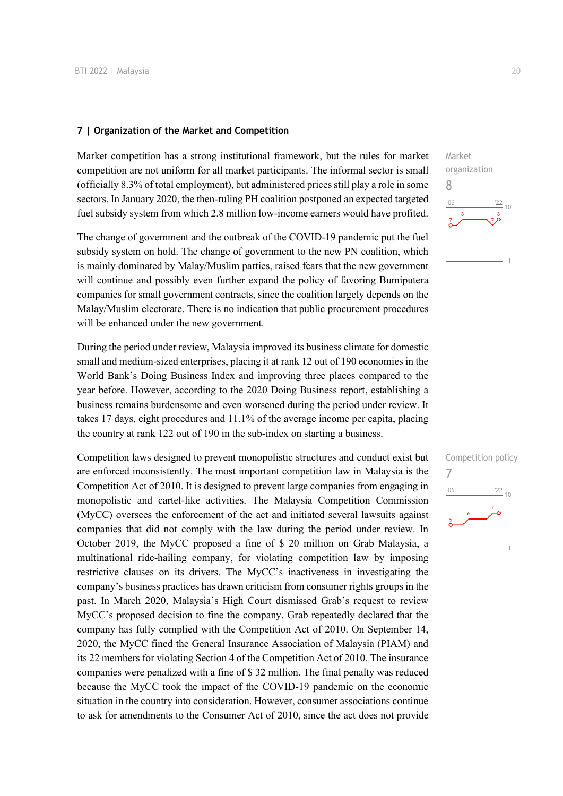### **7 | Organization of the Market and Competition**

Market competition has a strong institutional framework, but the rules for market competition are not uniform for all market participants. The informal sector is small (officially 8.3% of total employment), but administered prices still play a role in some sectors. In January 2020, the then-ruling PH coalition postponed an expected targeted fuel subsidy system from which 2.8 million low-income earners would have profited.

The change of government and the outbreak of the COVID-19 pandemic put the fuel subsidy system on hold. The change of government to the new PN coalition, which is mainly dominated by Malay/Muslim parties, raised fears that the new government will continue and possibly even further expand the policy of favoring Bumiputera companies for small government contracts, since the coalition largely depends on the Malay/Muslim electorate. There is no indication that public procurement procedures will be enhanced under the new government.

During the period under review, Malaysia improved its business climate for domestic small and medium-sized enterprises, placing it at rank 12 out of 190 economies in the World Bank's Doing Business Index and improving three places compared to the year before. However, according to the 2020 Doing Business report, establishing a business remains burdensome and even worsened during the period under review. It takes 17 days, eight procedures and 11.1% of the average income per capita, placing the country at rank 122 out of 190 in the sub-index on starting a business.

Competition laws designed to prevent monopolistic structures and conduct exist but are enforced inconsistently. The most important competition law in Malaysia is the Competition Act of 2010. It is designed to prevent large companies from engaging in monopolistic and cartel-like activities. The Malaysia Competition Commission (MyCC) oversees the enforcement of the act and initiated several lawsuits against companies that did not comply with the law during the period under review. In October 2019, the MyCC proposed a fine of \$ 20 million on Grab Malaysia, a multinational ride-hailing company, for violating competition law by imposing restrictive clauses on its drivers. The MyCC's inactiveness in investigating the company's business practices has drawn criticism from consumer rights groups in the past. In March 2020, Malaysia's High Court dismissed Grab's request to review MyCC's proposed decision to fine the company. Grab repeatedly declared that the company has fully complied with the Competition Act of 2010. On September 14, 2020, the MyCC fined the General Insurance Association of Malaysia (PIAM) and its 22 members for violating Section 4 of the Competition Act of 2010. The insurance companies were penalized with a fine of \$ 32 million. The final penalty was reduced because the MyCC took the impact of the COVID-19 pandemic on the economic situation in the country into consideration. However, consumer associations continue to ask for amendments to the Consumer Act of 2010, since the act does not provide



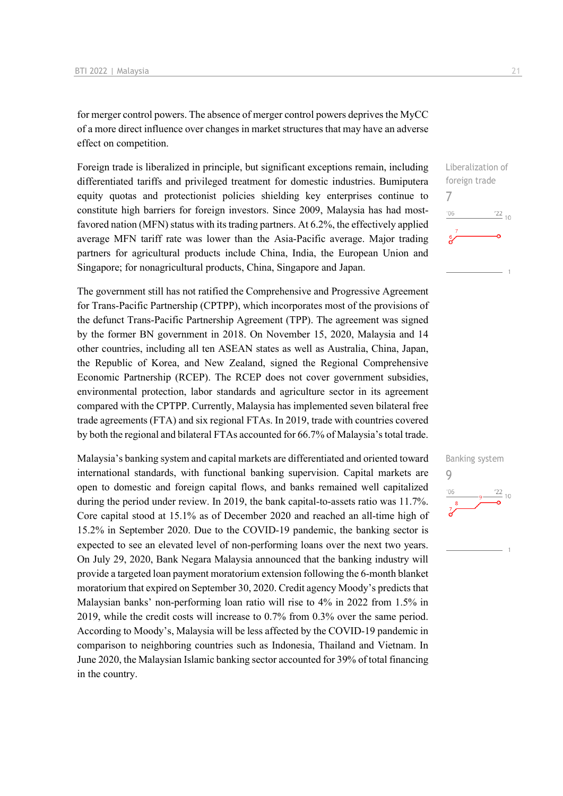for merger control powers. The absence of merger control powers deprives the MyCC of a more direct influence over changes in market structures that may have an adverse effect on competition.

Foreign trade is liberalized in principle, but significant exceptions remain, including differentiated tariffs and privileged treatment for domestic industries. Bumiputera equity quotas and protectionist policies shielding key enterprises continue to constitute high barriers for foreign investors. Since 2009, Malaysia has had mostfavored nation (MFN) status with its trading partners. At 6.2%, the effectively applied average MFN tariff rate was lower than the Asia-Pacific average. Major trading partners for agricultural products include China, India, the European Union and Singapore; for nonagricultural products, China, Singapore and Japan.

The government still has not ratified the Comprehensive and Progressive Agreement for Trans-Pacific Partnership (CPTPP), which incorporates most of the provisions of the defunct Trans-Pacific Partnership Agreement (TPP). The agreement was signed by the former BN government in 2018. On November 15, 2020, Malaysia and 14 other countries, including all ten ASEAN states as well as Australia, China, Japan, the Republic of Korea, and New Zealand, signed the Regional Comprehensive Economic Partnership (RCEP). The RCEP does not cover government subsidies, environmental protection, labor standards and agriculture sector in its agreement compared with the CPTPP. Currently, Malaysia has implemented seven bilateral free trade agreements (FTA) and six regional FTAs. In 2019, trade with countries covered by both the regional and bilateral FTAs accounted for 66.7% of Malaysia's total trade.

Malaysia's banking system and capital markets are differentiated and oriented toward international standards, with functional banking supervision. Capital markets are open to domestic and foreign capital flows, and banks remained well capitalized during the period under review. In 2019, the bank capital-to-assets ratio was 11.7%. Core capital stood at 15.1% as of December 2020 and reached an all-time high of 15.2% in September 2020. Due to the COVID-19 pandemic, the banking sector is expected to see an elevated level of non-performing loans over the next two years. On July 29, 2020, Bank Negara Malaysia announced that the banking industry will provide a targeted loan payment moratorium extension following the 6-month blanket moratorium that expired on September 30, 2020. Credit agency Moody's predicts that Malaysian banks' non-performing loan ratio will rise to 4% in 2022 from 1.5% in 2019, while the credit costs will increase to 0.7% from 0.3% over the same period. According to Moody's, Malaysia will be less affected by the COVID-19 pandemic in comparison to neighboring countries such as Indonesia, Thailand and Vietnam. In June 2020, the Malaysian Islamic banking sector accounted for 39% of total financing in the country.



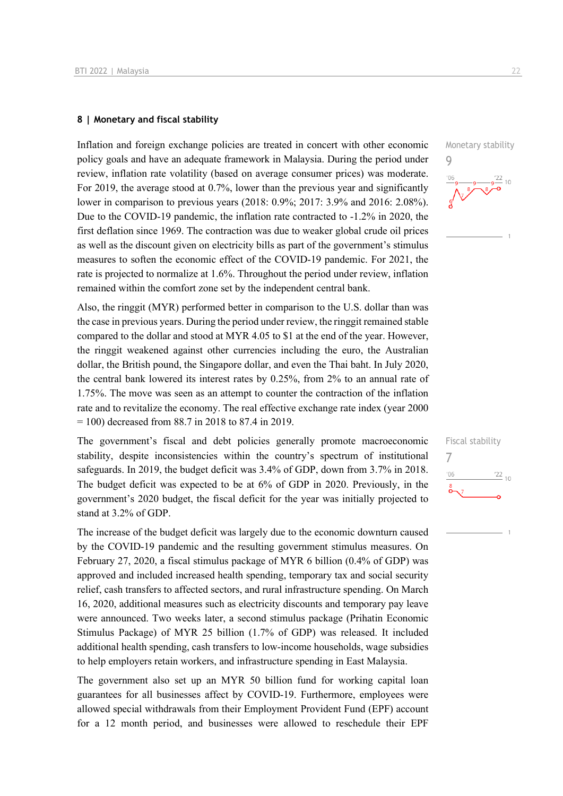### **8 | Monetary and fiscal stability**

Inflation and foreign exchange policies are treated in concert with other economic policy goals and have an adequate framework in Malaysia. During the period under review, inflation rate volatility (based on average consumer prices) was moderate. For 2019, the average stood at 0.7%, lower than the previous year and significantly lower in comparison to previous years (2018: 0.9%; 2017: 3.9% and 2016: 2.08%). Due to the COVID-19 pandemic, the inflation rate contracted to -1.2% in 2020, the first deflation since 1969. The contraction was due to weaker global crude oil prices as well as the discount given on electricity bills as part of the government's stimulus measures to soften the economic effect of the COVID-19 pandemic. For 2021, the rate is projected to normalize at 1.6%. Throughout the period under review, inflation remained within the comfort zone set by the independent central bank.

Also, the ringgit (MYR) performed better in comparison to the U.S. dollar than was the case in previous years. During the period under review, the ringgit remained stable compared to the dollar and stood at MYR 4.05 to \$1 at the end of the year. However, the ringgit weakened against other currencies including the euro, the Australian dollar, the British pound, the Singapore dollar, and even the Thai baht. In July 2020, the central bank lowered its interest rates by 0.25%, from 2% to an annual rate of 1.75%. The move was seen as an attempt to counter the contraction of the inflation rate and to revitalize the economy. The real effective exchange rate index (year 2000  $= 100$ ) decreased from 88.7 in 2018 to 87.4 in 2019.

The government's fiscal and debt policies generally promote macroeconomic stability, despite inconsistencies within the country's spectrum of institutional safeguards. In 2019, the budget deficit was 3.4% of GDP, down from 3.7% in 2018. The budget deficit was expected to be at 6% of GDP in 2020. Previously, in the government's 2020 budget, the fiscal deficit for the year was initially projected to stand at 3.2% of GDP.

The increase of the budget deficit was largely due to the economic downturn caused by the COVID-19 pandemic and the resulting government stimulus measures. On February 27, 2020, a fiscal stimulus package of MYR 6 billion (0.4% of GDP) was approved and included increased health spending, temporary tax and social security relief, cash transfers to affected sectors, and rural infrastructure spending. On March 16, 2020, additional measures such as electricity discounts and temporary pay leave were announced. Two weeks later, a second stimulus package (Prihatin Economic Stimulus Package) of MYR 25 billion (1.7% of GDP) was released. It included additional health spending, cash transfers to low-income households, wage subsidies to help employers retain workers, and infrastructure spending in East Malaysia.

The government also set up an MYR 50 billion fund for working capital loan guarantees for all businesses affect by COVID-19. Furthermore, employees were allowed special withdrawals from their Employment Provident Fund (EPF) account for a 12 month period, and businesses were allowed to reschedule their EPF

Monetary stability 9



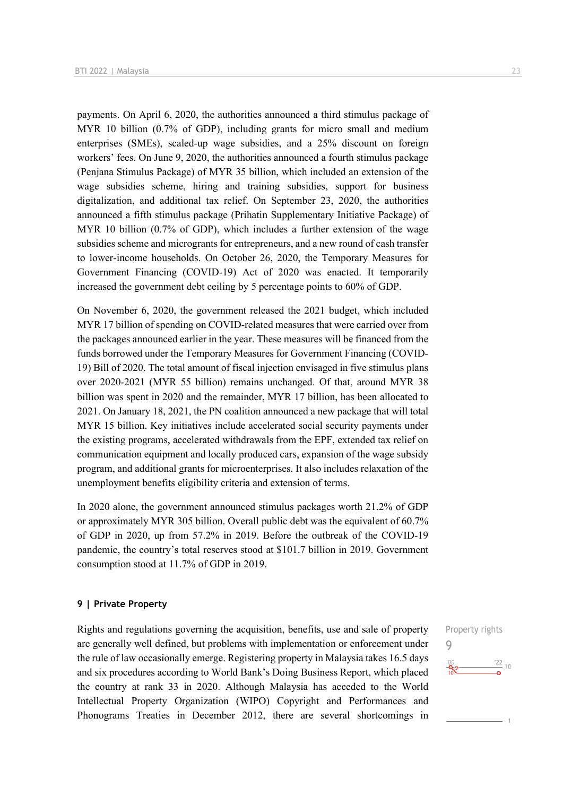payments. On April 6, 2020, the authorities announced a third stimulus package of MYR 10 billion (0.7% of GDP), including grants for micro small and medium enterprises (SMEs), scaled-up wage subsidies, and a 25% discount on foreign workers' fees. On June 9, 2020, the authorities announced a fourth stimulus package (Penjana Stimulus Package) of MYR 35 billion, which included an extension of the wage subsidies scheme, hiring and training subsidies, support for business digitalization, and additional tax relief. On September 23, 2020, the authorities announced a fifth stimulus package (Prihatin Supplementary Initiative Package) of MYR 10 billion (0.7% of GDP), which includes a further extension of the wage subsidies scheme and microgrants for entrepreneurs, and a new round of cash transfer to lower-income households. On October 26, 2020, the Temporary Measures for Government Financing (COVID-19) Act of 2020 was enacted. It temporarily increased the government debt ceiling by 5 percentage points to 60% of GDP.

On November 6, 2020, the government released the 2021 budget, which included MYR 17 billion of spending on COVID-related measures that were carried over from the packages announced earlier in the year. These measures will be financed from the funds borrowed under the Temporary Measures for Government Financing (COVID-19) Bill of 2020. The total amount of fiscal injection envisaged in five stimulus plans over 2020-2021 (MYR 55 billion) remains unchanged. Of that, around MYR 38 billion was spent in 2020 and the remainder, MYR 17 billion, has been allocated to 2021. On January 18, 2021, the PN coalition announced a new package that will total MYR 15 billion. Key initiatives include accelerated social security payments under the existing programs, accelerated withdrawals from the EPF, extended tax relief on communication equipment and locally produced cars, expansion of the wage subsidy program, and additional grants for microenterprises. It also includes relaxation of the unemployment benefits eligibility criteria and extension of terms.

In 2020 alone, the government announced stimulus packages worth 21.2% of GDP or approximately MYR 305 billion. Overall public debt was the equivalent of 60.7% of GDP in 2020, up from 57.2% in 2019. Before the outbreak of the COVID-19 pandemic, the country's total reserves stood at \$101.7 billion in 2019. Government consumption stood at 11.7% of GDP in 2019.

### **9 | Private Property**

Rights and regulations governing the acquisition, benefits, use and sale of property are generally well defined, but problems with implementation or enforcement under the rule of law occasionally emerge. Registering property in Malaysia takes 16.5 days and six procedures according to World Bank's Doing Business Report, which placed the country at rank 33 in 2020. Although Malaysia has acceded to the World Intellectual Property Organization (WIPO) Copyright and Performances and Phonograms Treaties in December 2012, there are several shortcomings in

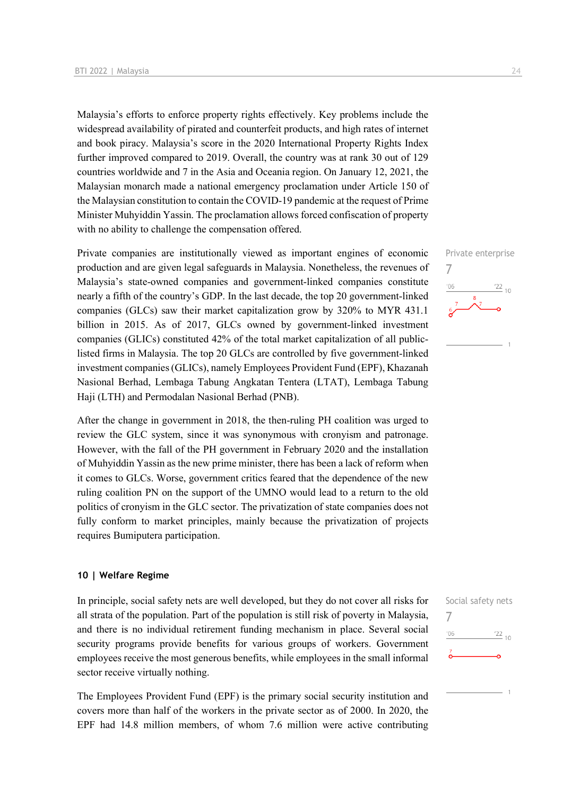Malaysia's efforts to enforce property rights effectively. Key problems include the widespread availability of pirated and counterfeit products, and high rates of internet and book piracy. Malaysia's score in the 2020 International Property Rights Index further improved compared to 2019. Overall, the country was at rank 30 out of 129 countries worldwide and 7 in the Asia and Oceania region. On January 12, 2021, the Malaysian monarch made a national emergency proclamation under Article 150 of the Malaysian constitution to contain the COVID-19 pandemic at the request of Prime Minister Muhyiddin Yassin. The proclamation allows forced confiscation of property with no ability to challenge the compensation offered.

Private companies are institutionally viewed as important engines of economic production and are given legal safeguards in Malaysia. Nonetheless, the revenues of Malaysia's state-owned companies and government-linked companies constitute nearly a fifth of the country's GDP. In the last decade, the top 20 government-linked companies (GLCs) saw their market capitalization grow by 320% to MYR 431.1 billion in 2015. As of 2017, GLCs owned by government-linked investment companies (GLICs) constituted 42% of the total market capitalization of all publiclisted firms in Malaysia. The top 20 GLCs are controlled by five government-linked investment companies (GLICs), namely Employees Provident Fund (EPF), Khazanah Nasional Berhad, Lembaga Tabung Angkatan Tentera (LTAT), Lembaga Tabung Haji (LTH) and Permodalan Nasional Berhad (PNB).

After the change in government in 2018, the then-ruling PH coalition was urged to review the GLC system, since it was synonymous with cronyism and patronage. However, with the fall of the PH government in February 2020 and the installation of Muhyiddin Yassin as the new prime minister, there has been a lack of reform when it comes to GLCs. Worse, government critics feared that the dependence of the new ruling coalition PN on the support of the UMNO would lead to a return to the old politics of cronyism in the GLC sector. The privatization of state companies does not fully conform to market principles, mainly because the privatization of projects requires Bumiputera participation.

### **10 | Welfare Regime**

In principle, social safety nets are well developed, but they do not cover all risks for all strata of the population. Part of the population is still risk of poverty in Malaysia, and there is no individual retirement funding mechanism in place. Several social security programs provide benefits for various groups of workers. Government employees receive the most generous benefits, while employees in the small informal sector receive virtually nothing.

The Employees Provident Fund (EPF) is the primary social security institution and covers more than half of the workers in the private sector as of 2000. In 2020, the EPF had 14.8 million members, of whom 7.6 million were active contributing



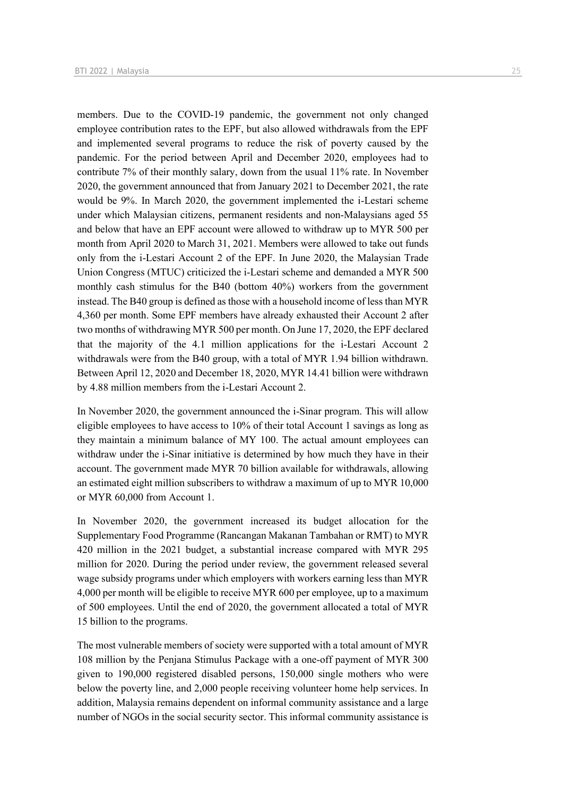members. Due to the COVID-19 pandemic, the government not only changed employee contribution rates to the EPF, but also allowed withdrawals from the EPF and implemented several programs to reduce the risk of poverty caused by the pandemic. For the period between April and December 2020, employees had to contribute 7% of their monthly salary, down from the usual 11% rate. In November 2020, the government announced that from January 2021 to December 2021, the rate would be 9%. In March 2020, the government implemented the i-Lestari scheme under which Malaysian citizens, permanent residents and non-Malaysians aged 55 and below that have an EPF account were allowed to withdraw up to MYR 500 per month from April 2020 to March 31, 2021. Members were allowed to take out funds only from the i-Lestari Account 2 of the EPF. In June 2020, the Malaysian Trade Union Congress (MTUC) criticized the i-Lestari scheme and demanded a MYR 500 monthly cash stimulus for the B40 (bottom 40%) workers from the government instead. The B40 group is defined as those with a household income of less than MYR 4,360 per month. Some EPF members have already exhausted their Account 2 after two months of withdrawing MYR 500 per month. On June 17, 2020, the EPF declared that the majority of the 4.1 million applications for the i-Lestari Account 2 withdrawals were from the B40 group, with a total of MYR 1.94 billion withdrawn. Between April 12, 2020 and December 18, 2020, MYR 14.41 billion were withdrawn by 4.88 million members from the i-Lestari Account 2.

In November 2020, the government announced the i-Sinar program. This will allow eligible employees to have access to 10% of their total Account 1 savings as long as they maintain a minimum balance of MY 100. The actual amount employees can withdraw under the i-Sinar initiative is determined by how much they have in their account. The government made MYR 70 billion available for withdrawals, allowing an estimated eight million subscribers to withdraw a maximum of up to MYR 10,000 or MYR 60,000 from Account 1.

In November 2020, the government increased its budget allocation for the Supplementary Food Programme (Rancangan Makanan Tambahan or RMT) to MYR 420 million in the 2021 budget, a substantial increase compared with MYR 295 million for 2020. During the period under review, the government released several wage subsidy programs under which employers with workers earning less than MYR 4,000 per month will be eligible to receive MYR 600 per employee, up to a maximum of 500 employees. Until the end of 2020, the government allocated a total of MYR 15 billion to the programs.

The most vulnerable members of society were supported with a total amount of MYR 108 million by the Penjana Stimulus Package with a one-off payment of MYR 300 given to 190,000 registered disabled persons, 150,000 single mothers who were below the poverty line, and 2,000 people receiving volunteer home help services. In addition, Malaysia remains dependent on informal community assistance and a large number of NGOs in the social security sector. This informal community assistance is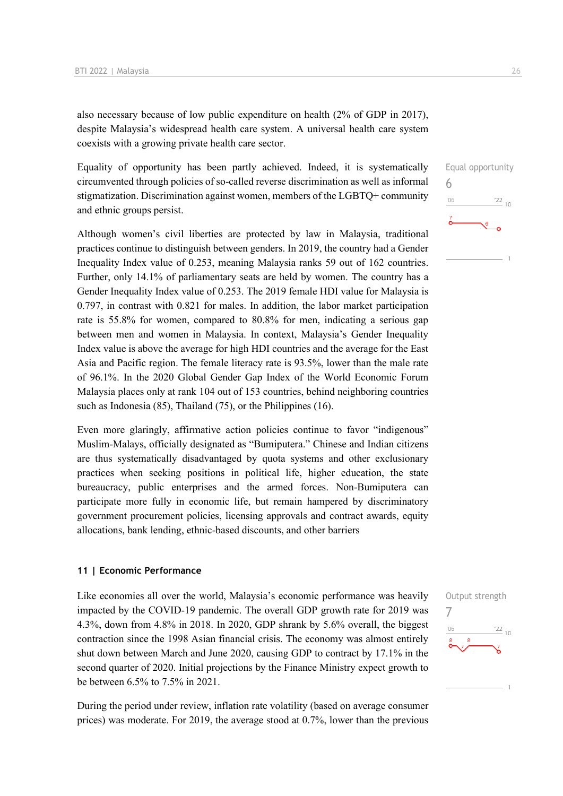also necessary because of low public expenditure on health (2% of GDP in 2017), despite Malaysia's widespread health care system. A universal health care system coexists with a growing private health care sector.

Equality of opportunity has been partly achieved. Indeed, it is systematically circumvented through policies of so-called reverse discrimination as well as informal stigmatization. Discrimination against women, members of the LGBTQ+ community and ethnic groups persist.

Although women's civil liberties are protected by law in Malaysia, traditional practices continue to distinguish between genders. In 2019, the country had a Gender Inequality Index value of 0.253, meaning Malaysia ranks 59 out of 162 countries. Further, only 14.1% of parliamentary seats are held by women. The country has a Gender Inequality Index value of 0.253. The 2019 female HDI value for Malaysia is 0.797, in contrast with 0.821 for males. In addition, the labor market participation rate is 55.8% for women, compared to 80.8% for men, indicating a serious gap between men and women in Malaysia. In context, Malaysia's Gender Inequality Index value is above the average for high HDI countries and the average for the East Asia and Pacific region. The female literacy rate is 93.5%, lower than the male rate of 96.1%. In the 2020 Global Gender Gap Index of the World Economic Forum Malaysia places only at rank 104 out of 153 countries, behind neighboring countries such as Indonesia (85), Thailand (75), or the Philippines (16).

Even more glaringly, affirmative action policies continue to favor "indigenous" Muslim-Malays, officially designated as "Bumiputera." Chinese and Indian citizens are thus systematically disadvantaged by quota systems and other exclusionary practices when seeking positions in political life, higher education, the state bureaucracy, public enterprises and the armed forces. Non-Bumiputera can participate more fully in economic life, but remain hampered by discriminatory government procurement policies, licensing approvals and contract awards, equity allocations, bank lending, ethnic-based discounts, and other barriers

### **11 | Economic Performance**

Like economies all over the world, Malaysia's economic performance was heavily impacted by the COVID-19 pandemic. The overall GDP growth rate for 2019 was 4.3%, down from 4.8% in 2018. In 2020, GDP shrank by 5.6% overall, the biggest contraction since the 1998 Asian financial crisis. The economy was almost entirely shut down between March and June 2020, causing GDP to contract by 17.1% in the second quarter of 2020. Initial projections by the Finance Ministry expect growth to be between 6.5% to 7.5% in 2021.

During the period under review, inflation rate volatility (based on average consumer prices) was moderate. For 2019, the average stood at 0.7%, lower than the previous

6

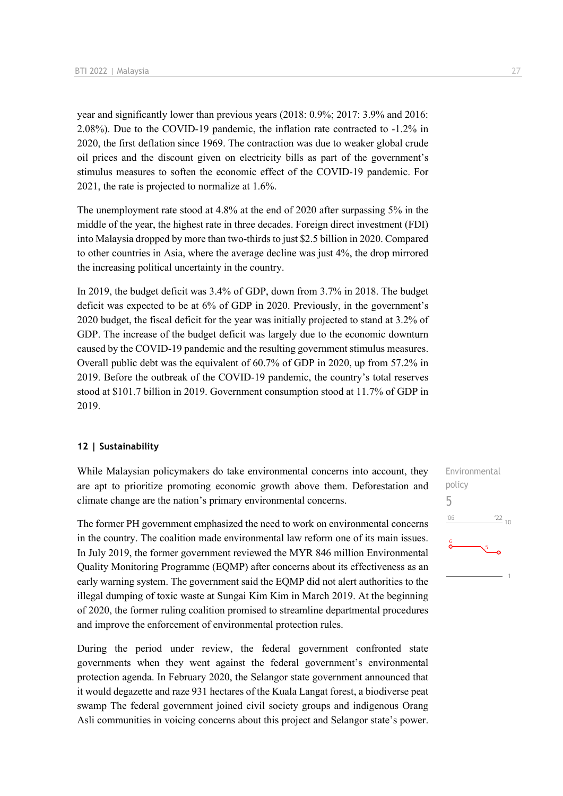year and significantly lower than previous years (2018: 0.9%; 2017: 3.9% and 2016: 2.08%). Due to the COVID-19 pandemic, the inflation rate contracted to -1.2% in 2020, the first deflation since 1969. The contraction was due to weaker global crude oil prices and the discount given on electricity bills as part of the government's stimulus measures to soften the economic effect of the COVID-19 pandemic. For 2021, the rate is projected to normalize at 1.6%.

The unemployment rate stood at 4.8% at the end of 2020 after surpassing 5% in the middle of the year, the highest rate in three decades. Foreign direct investment (FDI) into Malaysia dropped by more than two-thirds to just \$2.5 billion in 2020. Compared to other countries in Asia, where the average decline was just 4%, the drop mirrored the increasing political uncertainty in the country.

In 2019, the budget deficit was 3.4% of GDP, down from 3.7% in 2018. The budget deficit was expected to be at 6% of GDP in 2020. Previously, in the government's 2020 budget, the fiscal deficit for the year was initially projected to stand at 3.2% of GDP. The increase of the budget deficit was largely due to the economic downturn caused by the COVID-19 pandemic and the resulting government stimulus measures. Overall public debt was the equivalent of 60.7% of GDP in 2020, up from 57.2% in 2019. Before the outbreak of the COVID-19 pandemic, the country's total reserves stood at \$101.7 billion in 2019. Government consumption stood at 11.7% of GDP in 2019.

### **12 | Sustainability**

While Malaysian policymakers do take environmental concerns into account, they are apt to prioritize promoting economic growth above them. Deforestation and climate change are the nation's primary environmental concerns.

The former PH government emphasized the need to work on environmental concerns in the country. The coalition made environmental law reform one of its main issues. In July 2019, the former government reviewed the MYR 846 million Environmental Quality Monitoring Programme (EQMP) after concerns about its effectiveness as an early warning system. The government said the EQMP did not alert authorities to the illegal dumping of toxic waste at Sungai Kim Kim in March 2019. At the beginning of 2020, the former ruling coalition promised to streamline departmental procedures and improve the enforcement of environmental protection rules.

During the period under review, the federal government confronted state governments when they went against the federal government's environmental protection agenda. In February 2020, the Selangor state government announced that it would degazette and raze 931 hectares of the Kuala Langat forest, a biodiverse peat swamp The federal government joined civil society groups and indigenous Orang Asli communities in voicing concerns about this project and Selangor state's power. Environmental policy 5 $06'$  $\frac{22}{10}$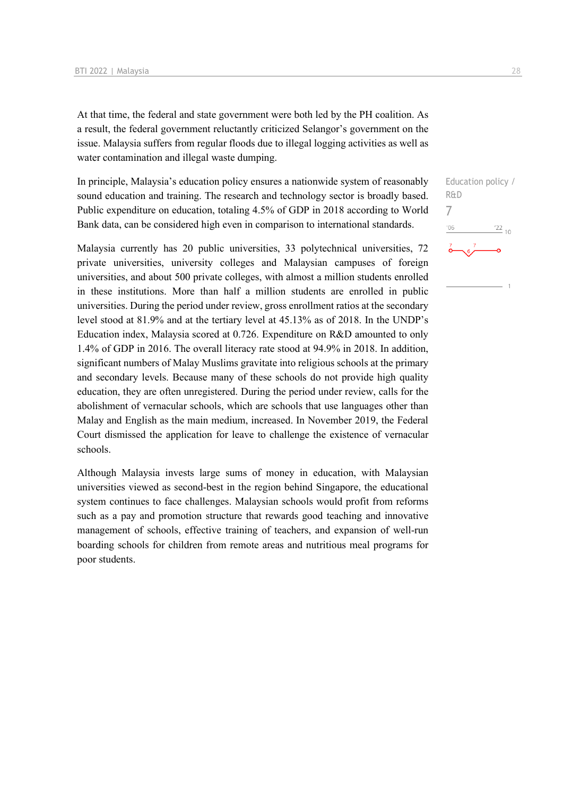At that time, the federal and state government were both led by the PH coalition. As a result, the federal government reluctantly criticized Selangor's government on the issue. Malaysia suffers from regular floods due to illegal logging activities as well as water contamination and illegal waste dumping.

In principle, Malaysia's education policy ensures a nationwide system of reasonably sound education and training. The research and technology sector is broadly based. Public expenditure on education, totaling 4.5% of GDP in 2018 according to World Bank data, can be considered high even in comparison to international standards.

Malaysia currently has 20 public universities, 33 polytechnical universities, 72 private universities, university colleges and Malaysian campuses of foreign universities, and about 500 private colleges, with almost a million students enrolled in these institutions. More than half a million students are enrolled in public universities. During the period under review, gross enrollment ratios at the secondary level stood at 81.9% and at the tertiary level at 45.13% as of 2018. In the UNDP's Education index, Malaysia scored at 0.726. Expenditure on R&D amounted to only 1.4% of GDP in 2016. The overall literacy rate stood at 94.9% in 2018. In addition, significant numbers of Malay Muslims gravitate into religious schools at the primary and secondary levels. Because many of these schools do not provide high quality education, they are often unregistered. During the period under review, calls for the abolishment of vernacular schools, which are schools that use languages other than Malay and English as the main medium, increased. In November 2019, the Federal Court dismissed the application for leave to challenge the existence of vernacular schools.

Although Malaysia invests large sums of money in education, with Malaysian universities viewed as second-best in the region behind Singapore, the educational system continues to face challenges. Malaysian schools would profit from reforms such as a pay and promotion structure that rewards good teaching and innovative management of schools, effective training of teachers, and expansion of well-run boarding schools for children from remote areas and nutritious meal programs for poor students.

Education policy / R&D 7 $^{\prime}06$  $\frac{22}{10}$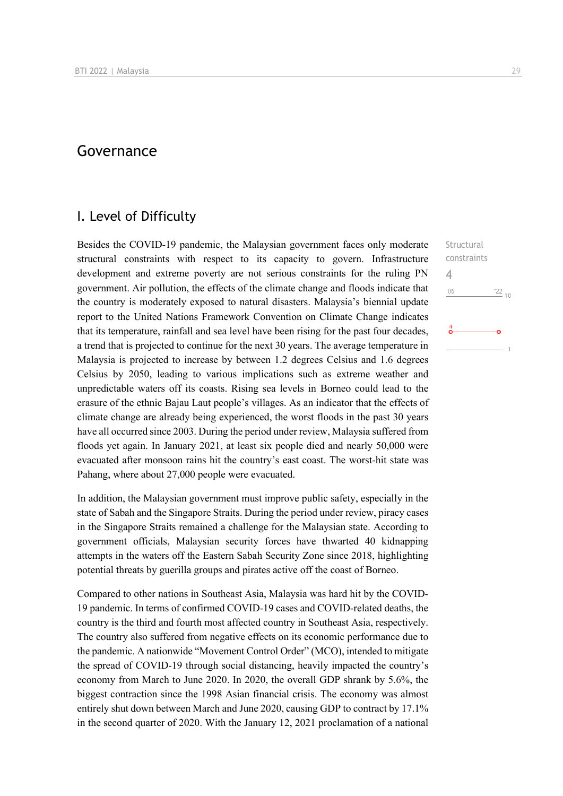# Governance

### I. Level of Difficulty

Besides the COVID-19 pandemic, the Malaysian government faces only moderate structural constraints with respect to its capacity to govern. Infrastructure development and extreme poverty are not serious constraints for the ruling PN government. Air pollution, the effects of the climate change and floods indicate that the country is moderately exposed to natural disasters. Malaysia's biennial update report to the United Nations Framework Convention on Climate Change indicates that its temperature, rainfall and sea level have been rising for the past four decades, a trend that is projected to continue for the next 30 years. The average temperature in Malaysia is projected to increase by between 1.2 degrees Celsius and 1.6 degrees Celsius by 2050, leading to various implications such as extreme weather and unpredictable waters off its coasts. Rising sea levels in Borneo could lead to the erasure of the ethnic Bajau Laut people's villages. As an indicator that the effects of climate change are already being experienced, the worst floods in the past 30 years have all occurred since 2003. During the period under review, Malaysia suffered from floods yet again. In January 2021, at least six people died and nearly 50,000 were evacuated after monsoon rains hit the country's east coast. The worst-hit state was Pahang, where about 27,000 people were evacuated.

In addition, the Malaysian government must improve public safety, especially in the state of Sabah and the Singapore Straits. During the period under review, piracy cases in the Singapore Straits remained a challenge for the Malaysian state. According to government officials, Malaysian security forces have thwarted 40 kidnapping attempts in the waters off the Eastern Sabah Security Zone since 2018, highlighting potential threats by guerilla groups and pirates active off the coast of Borneo.

Compared to other nations in Southeast Asia, Malaysia was hard hit by the COVID-19 pandemic. In terms of confirmed COVID-19 cases and COVID-related deaths, the country is the third and fourth most affected country in Southeast Asia, respectively. The country also suffered from negative effects on its economic performance due to the pandemic. A nationwide "Movement Control Order" (MCO), intended to mitigate the spread of COVID-19 through social distancing, heavily impacted the country's economy from March to June 2020. In 2020, the overall GDP shrank by 5.6%, the biggest contraction since the 1998 Asian financial crisis. The economy was almost entirely shut down between March and June 2020, causing GDP to contract by 17.1% in the second quarter of 2020. With the January 12, 2021 proclamation of a national

**Structural** constraints  $\frac{22}{10}$ 

4 $106$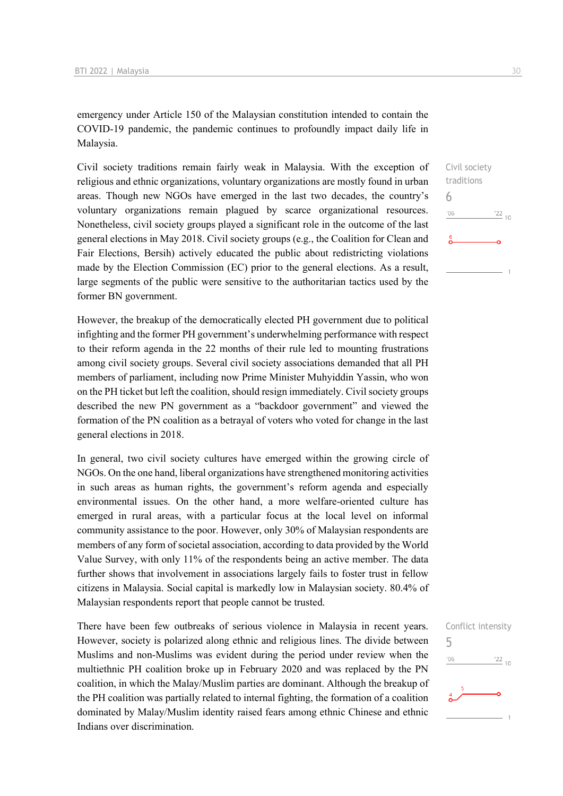emergency under Article 150 of the Malaysian constitution intended to contain the COVID-19 pandemic, the pandemic continues to profoundly impact daily life in Malaysia.

Civil society traditions remain fairly weak in Malaysia. With the exception of religious and ethnic organizations, voluntary organizations are mostly found in urban areas. Though new NGOs have emerged in the last two decades, the country's voluntary organizations remain plagued by scarce organizational resources. Nonetheless, civil society groups played a significant role in the outcome of the last general elections in May 2018. Civil society groups (e.g., the Coalition for Clean and Fair Elections, Bersih) actively educated the public about redistricting violations made by the Election Commission (EC) prior to the general elections. As a result, large segments of the public were sensitive to the authoritarian tactics used by the former BN government.

However, the breakup of the democratically elected PH government due to political infighting and the former PH government's underwhelming performance with respect to their reform agenda in the 22 months of their rule led to mounting frustrations among civil society groups. Several civil society associations demanded that all PH members of parliament, including now Prime Minister Muhyiddin Yassin, who won on the PH ticket but left the coalition, should resign immediately. Civil society groups described the new PN government as a "backdoor government" and viewed the formation of the PN coalition as a betrayal of voters who voted for change in the last general elections in 2018.

In general, two civil society cultures have emerged within the growing circle of NGOs. On the one hand, liberal organizations have strengthened monitoring activities in such areas as human rights, the government's reform agenda and especially environmental issues. On the other hand, a more welfare-oriented culture has emerged in rural areas, with a particular focus at the local level on informal community assistance to the poor. However, only 30% of Malaysian respondents are members of any form of societal association, according to data provided by the World Value Survey, with only 11% of the respondents being an active member. The data further shows that involvement in associations largely fails to foster trust in fellow citizens in Malaysia. Social capital is markedly low in Malaysian society. 80.4% of Malaysian respondents report that people cannot be trusted.

There have been few outbreaks of serious violence in Malaysia in recent years. However, society is polarized along ethnic and religious lines. The divide between Muslims and non-Muslims was evident during the period under review when the multiethnic PH coalition broke up in February 2020 and was replaced by the PN coalition, in which the Malay/Muslim parties are dominant. Although the breakup of the PH coalition was partially related to internal fighting, the formation of a coalition dominated by Malay/Muslim identity raised fears among ethnic Chinese and ethnic Indians over discrimination.



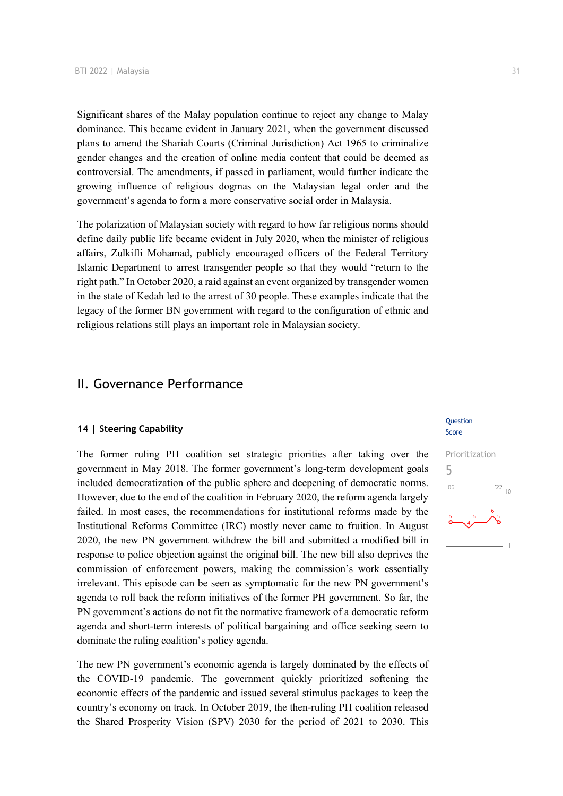Significant shares of the Malay population continue to reject any change to Malay dominance. This became evident in January 2021, when the government discussed plans to amend the Shariah Courts (Criminal Jurisdiction) Act 1965 to criminalize gender changes and the creation of online media content that could be deemed as controversial. The amendments, if passed in parliament, would further indicate the growing influence of religious dogmas on the Malaysian legal order and the government's agenda to form a more conservative social order in Malaysia.

The polarization of Malaysian society with regard to how far religious norms should define daily public life became evident in July 2020, when the minister of religious affairs, Zulkifli Mohamad, publicly encouraged officers of the Federal Territory Islamic Department to arrest transgender people so that they would "return to the right path." In October 2020, a raid against an event organized by transgender women in the state of Kedah led to the arrest of 30 people. These examples indicate that the legacy of the former BN government with regard to the configuration of ethnic and religious relations still plays an important role in Malaysian society.

### II. Governance Performance

### **14 | Steering Capability**

The former ruling PH coalition set strategic priorities after taking over the government in May 2018. The former government's long-term development goals included democratization of the public sphere and deepening of democratic norms. However, due to the end of the coalition in February 2020, the reform agenda largely failed. In most cases, the recommendations for institutional reforms made by the Institutional Reforms Committee (IRC) mostly never came to fruition. In August 2020, the new PN government withdrew the bill and submitted a modified bill in response to police objection against the original bill. The new bill also deprives the commission of enforcement powers, making the commission's work essentially irrelevant. This episode can be seen as symptomatic for the new PN government's agenda to roll back the reform initiatives of the former PH government. So far, the PN government's actions do not fit the normative framework of a democratic reform agenda and short-term interests of political bargaining and office seeking seem to dominate the ruling coalition's policy agenda.

The new PN government's economic agenda is largely dominated by the effects of the COVID-19 pandemic. The government quickly prioritized softening the economic effects of the pandemic and issued several stimulus packages to keep the country's economy on track. In October 2019, the then-ruling PH coalition released the Shared Prosperity Vision (SPV) 2030 for the period of 2021 to 2030. This

#### **Ouestion** Score

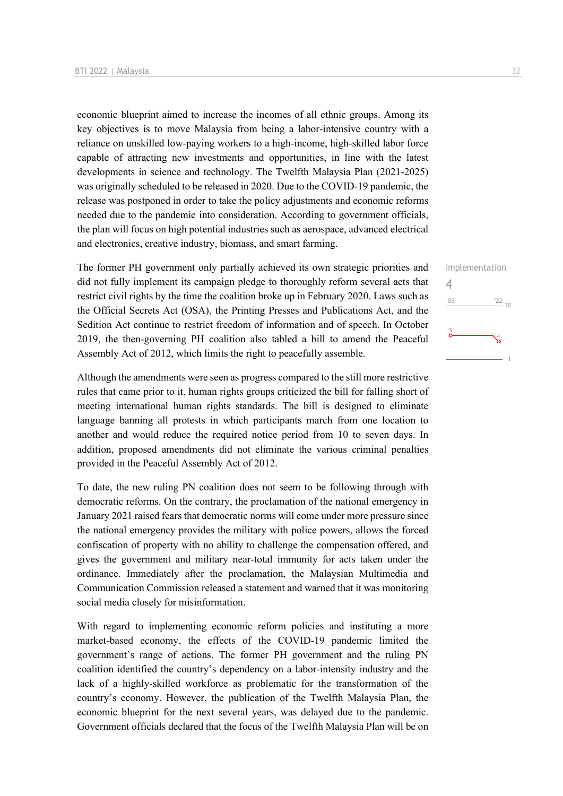economic blueprint aimed to increase the incomes of all ethnic groups. Among its key objectives is to move Malaysia from being a labor-intensive country with a reliance on unskilled low-paying workers to a high-income, high-skilled labor force capable of attracting new investments and opportunities, in line with the latest developments in science and technology. The Twelfth Malaysia Plan (2021-2025) was originally scheduled to be released in 2020. Due to the COVID-19 pandemic, the release was postponed in order to take the policy adjustments and economic reforms needed due to the pandemic into consideration. According to government officials, the plan will focus on high potential industries such as aerospace, advanced electrical and electronics, creative industry, biomass, and smart farming.

The former PH government only partially achieved its own strategic priorities and did not fully implement its campaign pledge to thoroughly reform several acts that restrict civil rights by the time the coalition broke up in February 2020. Laws such as the Official Secrets Act (OSA), the Printing Presses and Publications Act, and the Sedition Act continue to restrict freedom of information and of speech. In October 2019, the then-governing PH coalition also tabled a bill to amend the Peaceful Assembly Act of 2012, which limits the right to peacefully assemble.

Although the amendments were seen as progress compared to the still more restrictive rules that came prior to it, human rights groups criticized the bill for falling short of meeting international human rights standards. The bill is designed to eliminate language banning all protests in which participants march from one location to another and would reduce the required notice period from 10 to seven days. In addition, proposed amendments did not eliminate the various criminal penalties provided in the Peaceful Assembly Act of 2012.

To date, the new ruling PN coalition does not seem to be following through with democratic reforms. On the contrary, the proclamation of the national emergency in January 2021 raised fears that democratic norms will come under more pressure since the national emergency provides the military with police powers, allows the forced confiscation of property with no ability to challenge the compensation offered, and gives the government and military near-total immunity for acts taken under the ordinance. Immediately after the proclamation, the Malaysian Multimedia and Communication Commission released a statement and warned that it was monitoring social media closely for misinformation.

With regard to implementing economic reform policies and instituting a more market-based economy, the effects of the COVID-19 pandemic limited the government's range of actions. The former PH government and the ruling PN coalition identified the country's dependency on a labor-intensity industry and the lack of a highly-skilled workforce as problematic for the transformation of the country's economy. However, the publication of the Twelfth Malaysia Plan, the economic blueprint for the next several years, was delayed due to the pandemic. Government officials declared that the focus of the Twelfth Malaysia Plan will be on 4

 $106$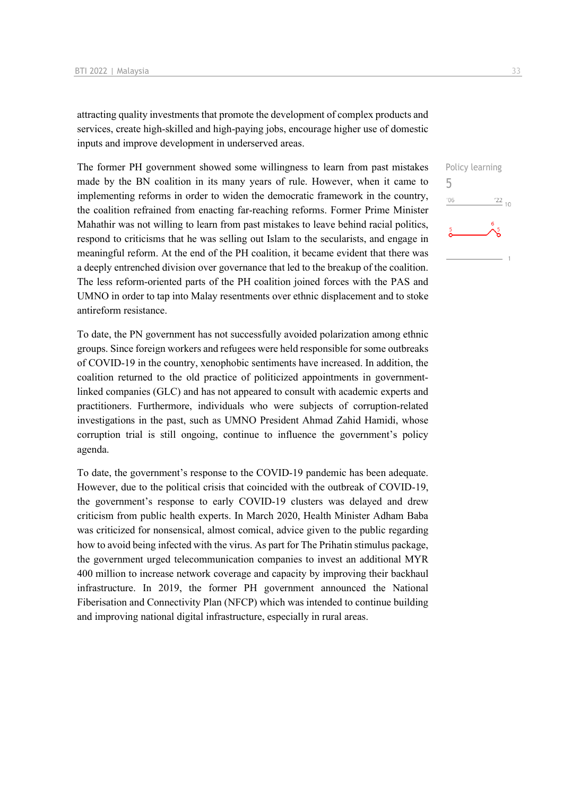attracting quality investments that promote the development of complex products and services, create high-skilled and high-paying jobs, encourage higher use of domestic inputs and improve development in underserved areas.

The former PH government showed some willingness to learn from past mistakes made by the BN coalition in its many years of rule. However, when it came to implementing reforms in order to widen the democratic framework in the country, the coalition refrained from enacting far-reaching reforms. Former Prime Minister Mahathir was not willing to learn from past mistakes to leave behind racial politics, respond to criticisms that he was selling out Islam to the secularists, and engage in meaningful reform. At the end of the PH coalition, it became evident that there was a deeply entrenched division over governance that led to the breakup of the coalition. The less reform-oriented parts of the PH coalition joined forces with the PAS and UMNO in order to tap into Malay resentments over ethnic displacement and to stoke antireform resistance.

To date, the PN government has not successfully avoided polarization among ethnic groups. Since foreign workers and refugees were held responsible for some outbreaks of COVID-19 in the country, xenophobic sentiments have increased. In addition, the coalition returned to the old practice of politicized appointments in governmentlinked companies (GLC) and has not appeared to consult with academic experts and practitioners. Furthermore, individuals who were subjects of corruption-related investigations in the past, such as UMNO President Ahmad Zahid Hamidi, whose corruption trial is still ongoing, continue to influence the government's policy agenda.

To date, the government's response to the COVID-19 pandemic has been adequate. However, due to the political crisis that coincided with the outbreak of COVID-19, the government's response to early COVID-19 clusters was delayed and drew criticism from public health experts. In March 2020, Health Minister Adham Baba was criticized for nonsensical, almost comical, advice given to the public regarding how to avoid being infected with the virus. As part for The Prihatin stimulus package, the government urged telecommunication companies to invest an additional MYR 400 million to increase network coverage and capacity by improving their backhaul infrastructure. In 2019, the former PH government announced the National Fiberisation and Connectivity Plan (NFCP) which was intended to continue building and improving national digital infrastructure, especially in rural areas.

Policy learning 5 $^{\prime}06$  $\frac{22}{10}$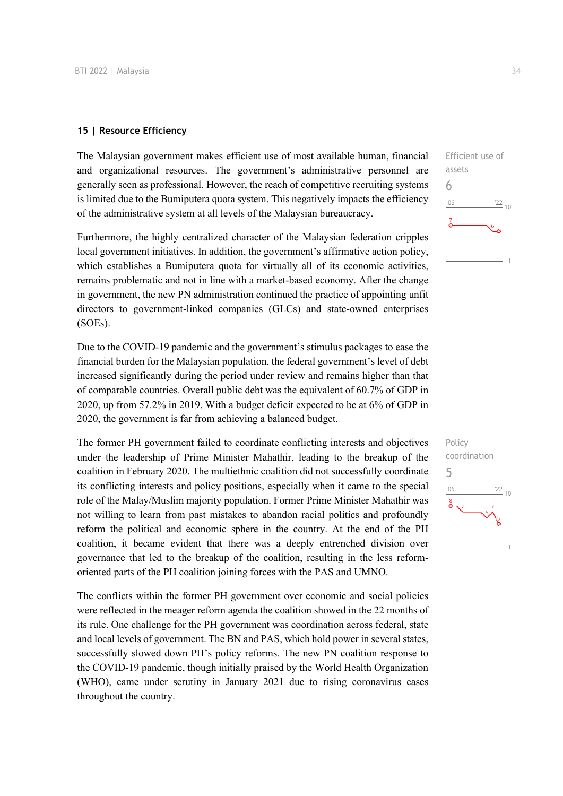### **15 | Resource Efficiency**

The Malaysian government makes efficient use of most available human, financial and organizational resources. The government's administrative personnel are generally seen as professional. However, the reach of competitive recruiting systems is limited due to the Bumiputera quota system. This negatively impacts the efficiency of the administrative system at all levels of the Malaysian bureaucracy.

Furthermore, the highly centralized character of the Malaysian federation cripples local government initiatives. In addition, the government's affirmative action policy, which establishes a Bumiputera quota for virtually all of its economic activities, remains problematic and not in line with a market-based economy. After the change in government, the new PN administration continued the practice of appointing unfit directors to government-linked companies (GLCs) and state-owned enterprises (SOEs).

Due to the COVID-19 pandemic and the government's stimulus packages to ease the financial burden for the Malaysian population, the federal government's level of debt increased significantly during the period under review and remains higher than that of comparable countries. Overall public debt was the equivalent of 60.7% of GDP in 2020, up from 57.2% in 2019. With a budget deficit expected to be at 6% of GDP in 2020, the government is far from achieving a balanced budget.

The former PH government failed to coordinate conflicting interests and objectives under the leadership of Prime Minister Mahathir, leading to the breakup of the coalition in February 2020. The multiethnic coalition did not successfully coordinate its conflicting interests and policy positions, especially when it came to the special role of the Malay/Muslim majority population. Former Prime Minister Mahathir was not willing to learn from past mistakes to abandon racial politics and profoundly reform the political and economic sphere in the country. At the end of the PH coalition, it became evident that there was a deeply entrenched division over governance that led to the breakup of the coalition, resulting in the less reformoriented parts of the PH coalition joining forces with the PAS and UMNO.

The conflicts within the former PH government over economic and social policies were reflected in the meager reform agenda the coalition showed in the 22 months of its rule. One challenge for the PH government was coordination across federal, state and local levels of government. The BN and PAS, which hold power in several states, successfully slowed down PH's policy reforms. The new PN coalition response to the COVID-19 pandemic, though initially praised by the World Health Organization (WHO), came under scrutiny in January 2021 due to rising coronavirus cases throughout the country.



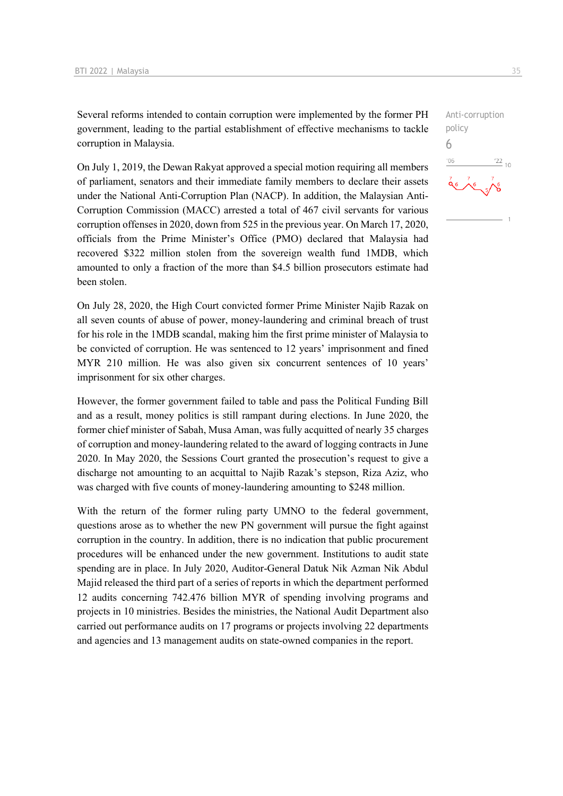Several reforms intended to contain corruption were implemented by the former PH government, leading to the partial establishment of effective mechanisms to tackle corruption in Malaysia.

On July 1, 2019, the Dewan Rakyat approved a special motion requiring all members of parliament, senators and their immediate family members to declare their assets under the National Anti-Corruption Plan (NACP). In addition, the Malaysian Anti-Corruption Commission (MACC) arrested a total of 467 civil servants for various corruption offenses in 2020, down from 525 in the previous year. On March 17, 2020, officials from the Prime Minister's Office (PMO) declared that Malaysia had recovered \$322 million stolen from the sovereign wealth fund 1MDB, which amounted to only a fraction of the more than \$4.5 billion prosecutors estimate had been stolen.

On July 28, 2020, the High Court convicted former Prime Minister Najib Razak on all seven counts of abuse of power, money-laundering and criminal breach of trust for his role in the 1MDB scandal, making him the first prime minister of Malaysia to be convicted of corruption. He was sentenced to 12 years' imprisonment and fined MYR 210 million. He was also given six concurrent sentences of 10 years' imprisonment for six other charges.

However, the former government failed to table and pass the Political Funding Bill and as a result, money politics is still rampant during elections. In June 2020, the former chief minister of Sabah, Musa Aman, was fully acquitted of nearly 35 charges of corruption and money-laundering related to the award of logging contracts in June 2020. In May 2020, the Sessions Court granted the prosecution's request to give a discharge not amounting to an acquittal to Najib Razak's stepson, Riza Aziz, who was charged with five counts of money-laundering amounting to \$248 million.

With the return of the former ruling party UMNO to the federal government, questions arose as to whether the new PN government will pursue the fight against corruption in the country. In addition, there is no indication that public procurement procedures will be enhanced under the new government. Institutions to audit state spending are in place. In July 2020, Auditor-General Datuk Nik Azman Nik Abdul Majid released the third part of a series of reports in which the department performed 12 audits concerning 742.476 billion MYR of spending involving programs and projects in 10 ministries. Besides the ministries, the National Audit Department also carried out performance audits on 17 programs or projects involving 22 departments and agencies and 13 management audits on state-owned companies in the report.

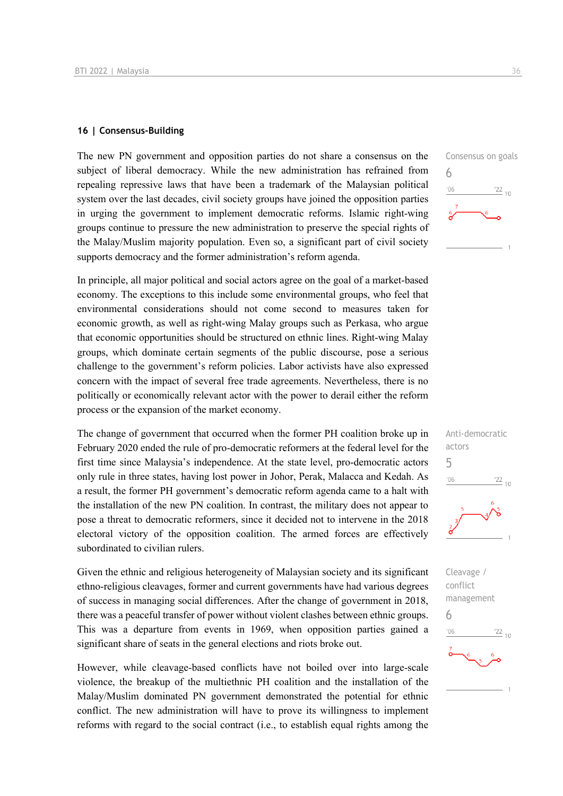### **16 | Consensus-Building**

The new PN government and opposition parties do not share a consensus on the subject of liberal democracy. While the new administration has refrained from repealing repressive laws that have been a trademark of the Malaysian political system over the last decades, civil society groups have joined the opposition parties in urging the government to implement democratic reforms. Islamic right-wing groups continue to pressure the new administration to preserve the special rights of the Malay/Muslim majority population. Even so, a significant part of civil society supports democracy and the former administration's reform agenda.

In principle, all major political and social actors agree on the goal of a market-based economy. The exceptions to this include some environmental groups, who feel that environmental considerations should not come second to measures taken for economic growth, as well as right-wing Malay groups such as Perkasa, who argue that economic opportunities should be structured on ethnic lines. Right-wing Malay groups, which dominate certain segments of the public discourse, pose a serious challenge to the government's reform policies. Labor activists have also expressed concern with the impact of several free trade agreements. Nevertheless, there is no politically or economically relevant actor with the power to derail either the reform process or the expansion of the market economy.

The change of government that occurred when the former PH coalition broke up in February 2020 ended the rule of pro-democratic reformers at the federal level for the first time since Malaysia's independence. At the state level, pro-democratic actors only rule in three states, having lost power in Johor, Perak, Malacca and Kedah. As a result, the former PH government's democratic reform agenda came to a halt with the installation of the new PN coalition. In contrast, the military does not appear to pose a threat to democratic reformers, since it decided not to intervene in the 2018 electoral victory of the opposition coalition. The armed forces are effectively subordinated to civilian rulers.

Given the ethnic and religious heterogeneity of Malaysian society and its significant ethno-religious cleavages, former and current governments have had various degrees of success in managing social differences. After the change of government in 2018, there was a peaceful transfer of power without violent clashes between ethnic groups. This was a departure from events in 1969, when opposition parties gained a significant share of seats in the general elections and riots broke out.

However, while cleavage-based conflicts have not boiled over into large-scale violence, the breakup of the multiethnic PH coalition and the installation of the Malay/Muslim dominated PN government demonstrated the potential for ethnic conflict. The new administration will have to prove its willingness to implement reforms with regard to the social contract (i.e., to establish equal rights among the

6

 $^{\prime}06$ 



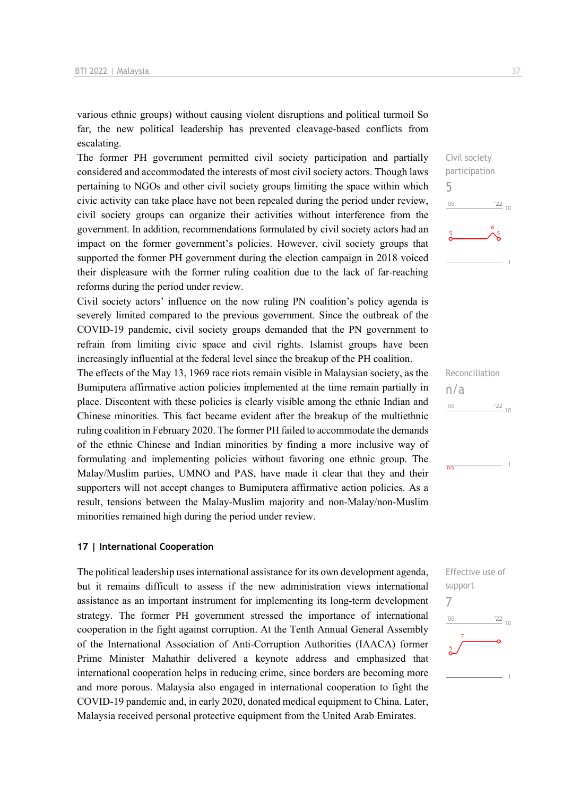various ethnic groups) without causing violent disruptions and political turmoil So far, the new political leadership has prevented cleavage-based conflicts from escalating.

The former PH government permitted civil society participation and partially considered and accommodated the interests of most civil society actors. Though laws pertaining to NGOs and other civil society groups limiting the space within which civic activity can take place have not been repealed during the period under review, civil society groups can organize their activities without interference from the government. In addition, recommendations formulated by civil society actors had an impact on the former government's policies. However, civil society groups that supported the former PH government during the election campaign in 2018 voiced their displeasure with the former ruling coalition due to the lack of far-reaching reforms during the period under review.

Civil society actors' influence on the now ruling PN coalition's policy agenda is severely limited compared to the previous government. Since the outbreak of the COVID-19 pandemic, civil society groups demanded that the PN government to refrain from limiting civic space and civil rights. Islamist groups have been increasingly influential at the federal level since the breakup of the PH coalition.

The effects of the May 13, 1969 race riots remain visible in Malaysian society, as the Bumiputera affirmative action policies implemented at the time remain partially in place. Discontent with these policies is clearly visible among the ethnic Indian and Chinese minorities. This fact became evident after the breakup of the multiethnic ruling coalition in February 2020. The former PH failed to accommodate the demands of the ethnic Chinese and Indian minorities by finding a more inclusive way of formulating and implementing policies without favoring one ethnic group. The Malay/Muslim parties, UMNO and PAS, have made it clear that they and their supporters will not accept changes to Bumiputera affirmative action policies. As a result, tensions between the Malay-Muslim majority and non-Malay/non-Muslim minorities remained high during the period under review.

### **17 | International Cooperation**

The political leadership uses international assistance for its own development agenda, but it remains difficult to assess if the new administration views international assistance as an important instrument for implementing its long-term development strategy. The former PH government stressed the importance of international cooperation in the fight against corruption. At the Tenth Annual General Assembly of the International Association of Anti-Corruption Authorities (IAACA) former Prime Minister Mahathir delivered a keynote address and emphasized that international cooperation helps in reducing crime, since borders are becoming more and more porous. Malaysia also engaged in international cooperation to fight the COVID-19 pandemic and, in early 2020, donated medical equipment to China. Later, Malaysia received personal protective equipment from the United Arab Emirates.







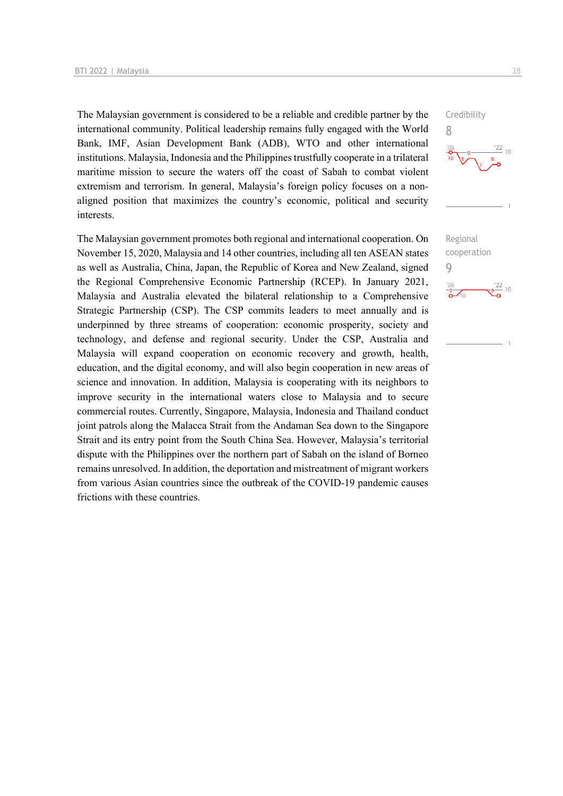The Malaysian government is considered to be a reliable and credible partner by the international community. Political leadership remains fully engaged with the World Bank, IMF, Asian Development Bank (ADB), WTO and other international institutions. Malaysia, Indonesia and the Philippines trustfully cooperate in a trilateral maritime mission to secure the waters off the coast of Sabah to combat violent extremism and terrorism. In general, Malaysia's foreign policy focuses on a nonaligned position that maximizes the country's economic, political and security interests.

The Malaysian government promotes both regional and international cooperation. On November 15, 2020, Malaysia and 14 other countries, including all ten ASEAN states as well as Australia, China, Japan, the Republic of Korea and New Zealand, signed the Regional Comprehensive Economic Partnership (RCEP). In January 2021, Malaysia and Australia elevated the bilateral relationship to a Comprehensive Strategic Partnership (CSP). The CSP commits leaders to meet annually and is underpinned by three streams of cooperation: economic prosperity, society and technology, and defense and regional security. Under the CSP, Australia and Malaysia will expand cooperation on economic recovery and growth, health, education, and the digital economy, and will also begin cooperation in new areas of science and innovation. In addition, Malaysia is cooperating with its neighbors to improve security in the international waters close to Malaysia and to secure commercial routes. Currently, Singapore, Malaysia, Indonesia and Thailand conduct joint patrols along the Malacca Strait from the Andaman Sea down to the Singapore Strait and its entry point from the South China Sea. However, Malaysia's territorial dispute with the Philippines over the northern part of Sabah on the island of Borneo remains unresolved. In addition, the deportation and mistreatment of migrant workers from various Asian countries since the outbreak of the COVID-19 pandemic causes frictions with these countries.